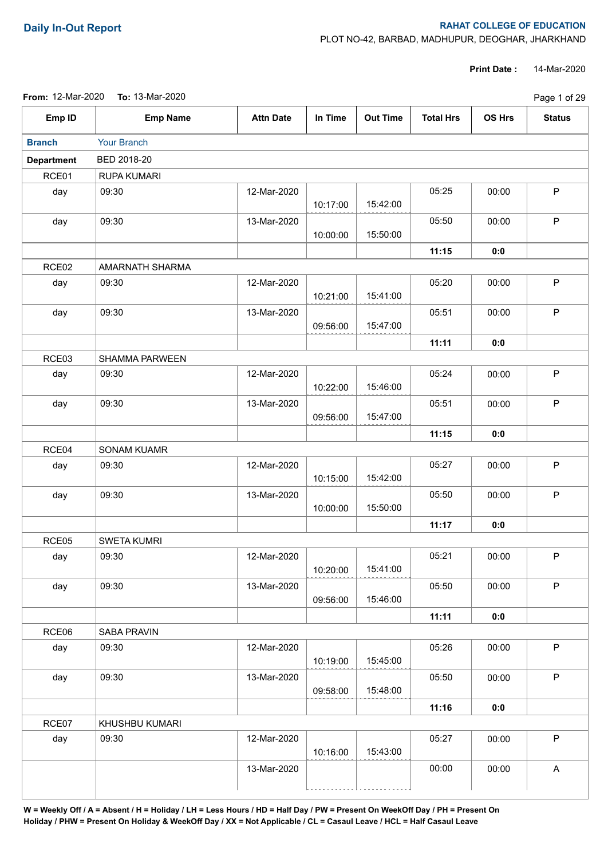## **Daily In-Out Report RAHAT COLLEGE OF EDUCATION**

PLOT NO-42, BARBAD, MADHUPUR, DEOGHAR, JHARKHAND

**Print Date :** 14-Mar-2020

**From:** 12-Mar-2020 **To:** 13-Mar-2020

|                   | From: 12-Mar-2020  To: 13-Mar-2020 |                  |          |                 |                  |        | Page 1 of 29  |
|-------------------|------------------------------------|------------------|----------|-----------------|------------------|--------|---------------|
| Emp ID            | <b>Emp Name</b>                    | <b>Attn Date</b> | In Time  | <b>Out Time</b> | <b>Total Hrs</b> | OS Hrs | <b>Status</b> |
| <b>Branch</b>     | Your Branch                        |                  |          |                 |                  |        |               |
| <b>Department</b> | BED 2018-20                        |                  |          |                 |                  |        |               |
| RCE01             | RUPA KUMARI                        |                  |          |                 |                  |        |               |
| day               | 09:30                              | 12-Mar-2020      | 10:17:00 | 15:42:00        | 05:25            | 00:00  | $\sf P$       |
| day               | 09:30                              | 13-Mar-2020      | 10:00:00 | 15:50:00        | 05:50            | 00:00  | P             |
|                   |                                    |                  |          |                 | 11:15            | 0:0    |               |
| RCE02             | AMARNATH SHARMA                    |                  |          |                 |                  |        |               |
| day               | 09:30                              | 12-Mar-2020      | 10:21:00 | 15:41:00        | 05:20            | 00:00  | P             |
| day               | 09:30                              | 13-Mar-2020      | 09:56:00 | 15:47:00        | 05:51            | 00:00  | $\mathsf P$   |
|                   |                                    |                  |          |                 | 11:11            | 0:0    |               |
| RCE03             | SHAMMA PARWEEN                     |                  |          |                 |                  |        |               |
| day               | 09:30                              | 12-Mar-2020      | 10:22:00 | 15:46:00        | 05:24            | 00:00  | $\mathsf P$   |
| day               | 09:30                              | 13-Mar-2020      | 09:56:00 | 15:47:00        | 05:51            | 00:00  | $\mathsf P$   |
|                   |                                    |                  |          |                 | 11:15            | 0:0    |               |
| RCE04             | <b>SONAM KUAMR</b>                 |                  |          |                 |                  |        |               |
| day               | 09:30                              | 12-Mar-2020      | 10:15:00 | 15:42:00        | 05:27            | 00:00  | $\sf P$       |
| day               | 09:30                              | 13-Mar-2020      | 10:00:00 | 15:50:00        | 05:50            | 00:00  | $\mathsf P$   |
|                   |                                    |                  |          |                 | 11:17            | 0:0    |               |
| RCE05             | <b>SWETA KUMRI</b>                 |                  |          |                 |                  |        |               |
| day               | 09:30                              | 12-Mar-2020      | 10:20:00 | 15:41:00        | 05:21            | 00:00  | $\sf P$       |
| day               | 09:30                              | 13-Mar-2020      | 09:56:00 | 15:46:00        | 05:50            | 00:00  | $\mathsf P$   |
|                   |                                    |                  |          |                 | 11:11            | 0:0    |               |
| RCE06             | SABA PRAVIN                        |                  |          |                 |                  |        |               |
| day               | 09:30                              | 12-Mar-2020      | 10:19:00 | 15:45:00        | 05:26            | 00:00  | P             |
| day               | 09:30                              | 13-Mar-2020      | 09:58:00 | 15:48:00        | 05:50            | 00:00  | $\mathsf P$   |
|                   |                                    |                  |          |                 | 11:16            | 0:0    |               |
| RCE07             | KHUSHBU KUMARI                     |                  |          |                 |                  |        |               |
| day               | 09:30                              | 12-Mar-2020      | 10:16:00 | 15:43:00        | 05:27            | 00:00  | $\mathsf P$   |
|                   |                                    | 13-Mar-2020      |          |                 | 00:00            | 00:00  | A             |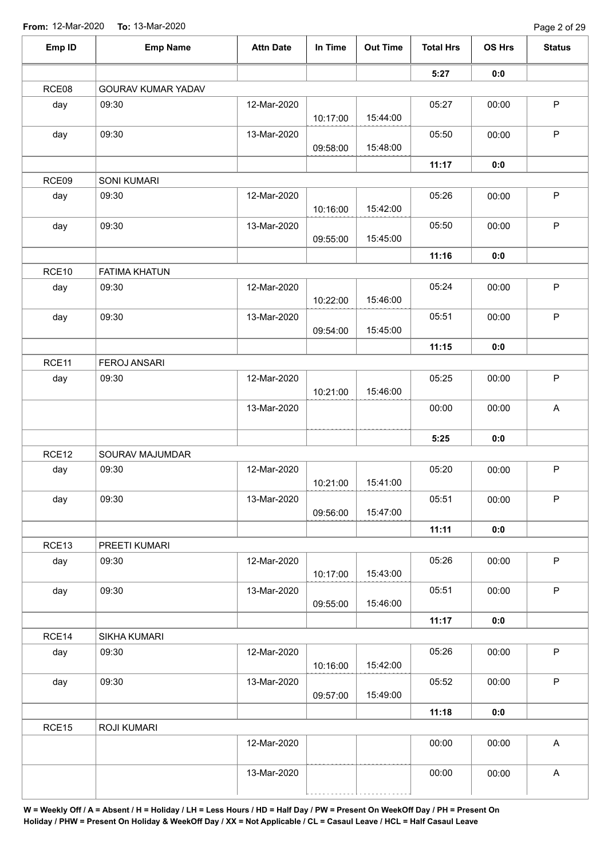| Emp ID | <b>Emp Name</b>      | <b>Attn Date</b> | In Time  | <b>Out Time</b> | <b>Total Hrs</b> | OS Hrs | <b>Status</b>             |
|--------|----------------------|------------------|----------|-----------------|------------------|--------|---------------------------|
|        |                      |                  |          |                 | 5:27             | 0:0    |                           |
| RCE08  | GOURAV KUMAR YADAV   |                  |          |                 |                  |        |                           |
| day    | 09:30                | 12-Mar-2020      | 10:17:00 | 15:44:00        | 05:27            | 00:00  | P                         |
| day    | 09:30                | 13-Mar-2020      | 09:58:00 | 15:48:00        | 05:50            | 00:00  | $\mathsf P$               |
|        |                      |                  |          |                 | 11:17            | 0:0    |                           |
| RCE09  | <b>SONI KUMARI</b>   |                  |          |                 |                  |        |                           |
| day    | 09:30                | 12-Mar-2020      | 10:16:00 | 15:42:00        | 05:26            | 00:00  | $\mathsf P$               |
| day    | 09:30                | 13-Mar-2020      | 09:55:00 | 15:45:00        | 05:50            | 00:00  | $\mathsf{P}$              |
|        |                      |                  |          |                 | 11:16            | 0:0    |                           |
| RCE10  | <b>FATIMA KHATUN</b> |                  |          |                 |                  |        |                           |
| day    | 09:30                | 12-Mar-2020      | 10:22:00 | 15:46:00        | 05:24            | 00:00  | $\mathsf P$               |
| day    | 09:30                | 13-Mar-2020      | 09:54:00 | 15:45:00        | 05:51            | 00:00  | $\mathsf P$               |
|        |                      |                  |          |                 | 11:15            | 0:0    |                           |
| RCE11  | <b>FEROJ ANSARI</b>  |                  |          |                 |                  |        |                           |
| day    | 09:30                | 12-Mar-2020      | 10:21:00 | 15:46:00        | 05:25            | 00:00  | $\mathsf P$               |
|        |                      | 13-Mar-2020      |          |                 | 00:00            | 00:00  | $\boldsymbol{\mathsf{A}}$ |
|        |                      |                  |          |                 | 5:25             | 0:0    |                           |
| RCE12  | SOURAV MAJUMDAR      |                  |          |                 |                  |        |                           |
| day    | 09:30                | 12-Mar-2020      | 10:21:00 | 15:41:00        | 05:20            | 00:00  | $\mathsf P$               |
| day    | 09:30                | 13-Mar-2020      | 09:56:00 | 15:47:00        | 05:51            | 00:00  | $\sf P$                   |
|        |                      |                  |          |                 | 11:11            | 0:0    |                           |
| RCE13  | PREETI KUMARI        |                  |          |                 |                  |        |                           |
| day    | 09:30                | 12-Mar-2020      | 10:17:00 | 15:43:00        | 05:26            | 00:00  | $\sf P$                   |
| day    | 09:30                | 13-Mar-2020      | 09:55:00 | 15:46:00        | 05:51            | 00:00  | $\mathsf P$               |
|        |                      |                  |          |                 | 11:17            | 0:0    |                           |
| RCE14  | SIKHA KUMARI         |                  |          |                 |                  |        |                           |
| day    | 09:30                | 12-Mar-2020      | 10:16:00 | 15:42:00        | 05:26            | 00:00  | $\mathsf{P}$              |
| day    | 09:30                | 13-Mar-2020      | 09:57:00 | 15:49:00        | 05:52            | 00:00  | $\sf P$                   |
|        |                      |                  |          |                 | 11:18            | 0:0    |                           |
| RCE15  | ROJI KUMARI          |                  |          |                 |                  |        |                           |
|        |                      | 12-Mar-2020      |          |                 | 00:00            | 00:00  | $\boldsymbol{\mathsf{A}}$ |
|        |                      | 13-Mar-2020      |          |                 | 00:00            | 00:00  | $\mathsf{A}$              |
|        |                      |                  |          |                 |                  |        |                           |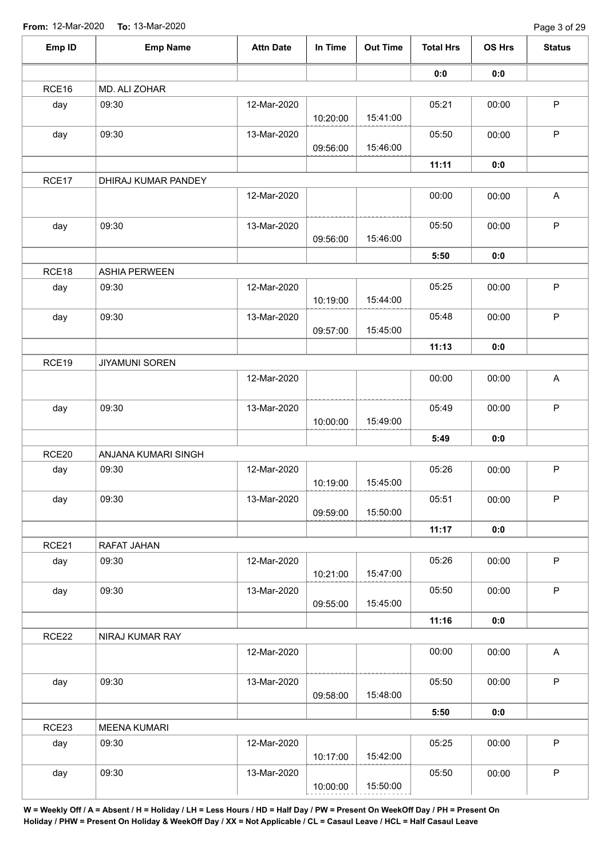| Emp ID | <b>Emp Name</b>       | <b>Attn Date</b> | In Time  | <b>Out Time</b> | <b>Total Hrs</b> | OS Hrs | <b>Status</b>             |
|--------|-----------------------|------------------|----------|-----------------|------------------|--------|---------------------------|
|        |                       |                  |          |                 | 0:0              | 0:0    |                           |
| RCE16  | MD. ALI ZOHAR         |                  |          |                 |                  |        |                           |
| day    | 09:30                 | 12-Mar-2020      | 10:20:00 | 15:41:00        | 05:21            | 00:00  | P                         |
| day    | 09:30                 | 13-Mar-2020      | 09:56:00 | 15:46:00        | 05:50            | 00:00  | $\mathsf P$               |
|        |                       |                  |          |                 | 11:11            | 0:0    |                           |
| RCE17  | DHIRAJ KUMAR PANDEY   |                  |          |                 |                  |        |                           |
|        |                       | 12-Mar-2020      |          |                 | 00:00            | 00:00  | A                         |
| day    | 09:30                 | 13-Mar-2020      | 09:56:00 | 15:46:00        | 05:50            | 00:00  | $\mathsf P$               |
|        |                       |                  |          |                 | 5:50             | 0:0    |                           |
| RCE18  | <b>ASHIA PERWEEN</b>  |                  |          |                 |                  |        |                           |
| day    | 09:30                 | 12-Mar-2020      | 10:19:00 | 15:44:00        | 05:25            | 00:00  | $\mathsf P$               |
| day    | 09:30                 | 13-Mar-2020      | 09:57:00 | 15:45:00        | 05:48            | 00:00  | $\mathsf P$               |
|        |                       |                  |          |                 | 11:13            | 0:0    |                           |
| RCE19  | <b>JIYAMUNI SOREN</b> |                  |          |                 |                  |        |                           |
|        |                       | 12-Mar-2020      |          |                 | 00:00            | 00:00  | $\boldsymbol{\mathsf{A}}$ |
| day    | 09:30                 | 13-Mar-2020      | 10:00:00 | 15:49:00        | 05:49            | 00:00  | $\mathsf P$               |
|        |                       |                  |          |                 | 5:49             | 0:0    |                           |
| RCE20  | ANJANA KUMARI SINGH   |                  |          |                 |                  |        |                           |
| day    | 09:30                 | 12-Mar-2020      |          |                 | 05:26            | 00:00  | P                         |
|        |                       |                  | 10:19:00 | 15:45:00        |                  |        |                           |
| day    | 09:30                 | 13-Mar-2020      | 09:59:00 | 15:50:00        | 05:51            | 00:00  | $\sf P$                   |
|        |                       |                  |          |                 | 11:17            | 0:0    |                           |
| RCE21  | RAFAT JAHAN           |                  |          |                 |                  |        |                           |
| day    | 09:30                 | 12-Mar-2020      | 10:21:00 | 15:47:00        | 05:26            | 00:00  | $\sf P$                   |
| day    | 09:30                 | 13-Mar-2020      | 09:55:00 | 15:45:00        | 05:50            | 00:00  | $\mathsf P$               |
|        |                       |                  |          |                 | 11:16            | 0:0    |                           |
| RCE22  | NIRAJ KUMAR RAY       |                  |          |                 |                  |        |                           |
|        |                       | 12-Mar-2020      |          |                 | 00:00            | 00:00  | A                         |
| day    | 09:30                 | 13-Mar-2020      | 09:58:00 | 15:48:00        | 05:50            | 00:00  | $\sf P$                   |
|        |                       |                  |          |                 | 5:50             | 0:0    |                           |
| RCE23  | <b>MEENA KUMARI</b>   |                  |          |                 |                  |        |                           |
| day    | 09:30                 | 12-Mar-2020      | 10:17:00 | 15:42:00        | 05:25            | 00:00  | $\mathsf P$               |
| day    | 09:30                 | 13-Mar-2020      | 10:00:00 | 15:50:00        | 05:50            | 00:00  | $\mathsf P$               |
|        |                       |                  |          |                 |                  |        |                           |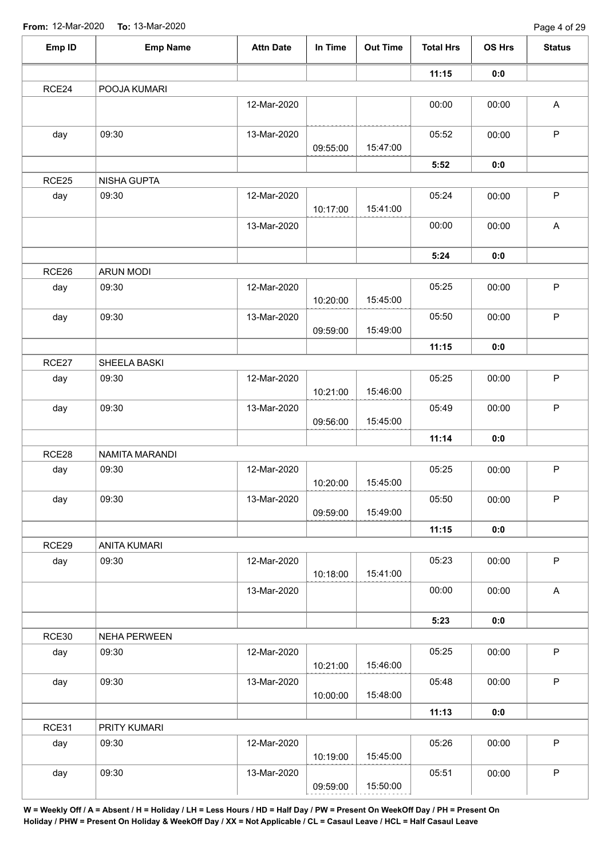| Emp ID | <b>Emp Name</b>     | <b>Attn Date</b> | In Time  | <b>Out Time</b> | <b>Total Hrs</b> | <b>OS Hrs</b> | <b>Status</b>             |
|--------|---------------------|------------------|----------|-----------------|------------------|---------------|---------------------------|
|        |                     |                  |          |                 | 11:15            | 0:0           |                           |
| RCE24  | POOJA KUMARI        |                  |          |                 |                  |               |                           |
|        |                     | 12-Mar-2020      |          |                 | 00:00            | 00:00         | $\mathsf{A}$              |
| day    | 09:30               | 13-Mar-2020      | 09:55:00 | 15:47:00        | 05:52            | 00:00         | $\mathsf P$               |
|        |                     |                  |          |                 | 5:52             | 0:0           |                           |
| RCE25  | NISHA GUPTA         |                  |          |                 |                  |               |                           |
| day    | 09:30               | 12-Mar-2020      | 10:17:00 | 15:41:00        | 05:24            | 00:00         | $\mathsf P$               |
|        |                     | 13-Mar-2020      |          |                 | 00:00            | 00:00         | $\boldsymbol{\mathsf{A}}$ |
|        |                     |                  |          |                 | 5:24             | 0:0           |                           |
| RCE26  | <b>ARUN MODI</b>    |                  |          |                 |                  |               |                           |
| day    | 09:30               | 12-Mar-2020      | 10:20:00 | 15:45:00        | 05:25            | 00:00         | $\mathsf P$               |
| day    | 09:30               | 13-Mar-2020      | 09:59:00 | 15:49:00        | 05:50            | 00:00         | $\mathsf P$               |
|        |                     |                  |          |                 | 11:15            | 0:0           |                           |
| RCE27  | SHEELA BASKI        |                  |          |                 |                  |               |                           |
| day    | 09:30               | 12-Mar-2020      | 10:21:00 | 15:46:00        | 05:25            | 00:00         | $\mathsf P$               |
| day    | 09:30               | 13-Mar-2020      |          |                 | 05:49            | 00:00         | $\mathsf P$               |
|        |                     |                  | 09:56:00 | 15:45:00        |                  |               |                           |
|        |                     |                  |          |                 | 11:14            | 0:0           |                           |
| RCE28  | NAMITA MARANDI      |                  |          |                 |                  |               |                           |
| day    | 09:30               | 12-Mar-2020      | 10:20:00 | 15:45:00        | 05:25            | 00:00         | $\mathsf P$               |
| day    | 09:30               | 13-Mar-2020      | 09:59:00 | 15:49:00        | 05:50            | 00:00         | $\mathsf P$               |
|        |                     |                  |          |                 | 11:15            | 0:0           |                           |
| RCE29  | <b>ANITA KUMARI</b> |                  |          |                 |                  |               |                           |
| day    | 09:30               | 12-Mar-2020      | 10:18:00 | 15:41:00        | 05:23            | 00:00         | $\mathsf P$               |
|        |                     | 13-Mar-2020      |          |                 | 00:00            | 00:00         | $\mathsf A$               |
|        |                     |                  |          |                 | 5:23             | 0:0           |                           |
| RCE30  | <b>NEHA PERWEEN</b> |                  |          |                 |                  |               |                           |
| day    | 09:30               | 12-Mar-2020      | 10:21:00 | 15:46:00        | 05:25            | 00:00         | $\mathsf P$               |
| day    | 09:30               | 13-Mar-2020      | 10:00:00 | 15:48:00        | 05:48            | 00:00         | $\mathsf P$               |
|        |                     |                  |          |                 | 11:13            | 0:0           |                           |
| RCE31  | PRITY KUMARI        |                  |          |                 |                  |               |                           |
| day    | 09:30               | 12-Mar-2020      | 10:19:00 | 15:45:00        | 05:26            | 00:00         | $\mathsf P$               |
| day    | 09:30               | 13-Mar-2020      | 09:59:00 | 15:50:00        | 05:51            | 00:00         | $\sf P$                   |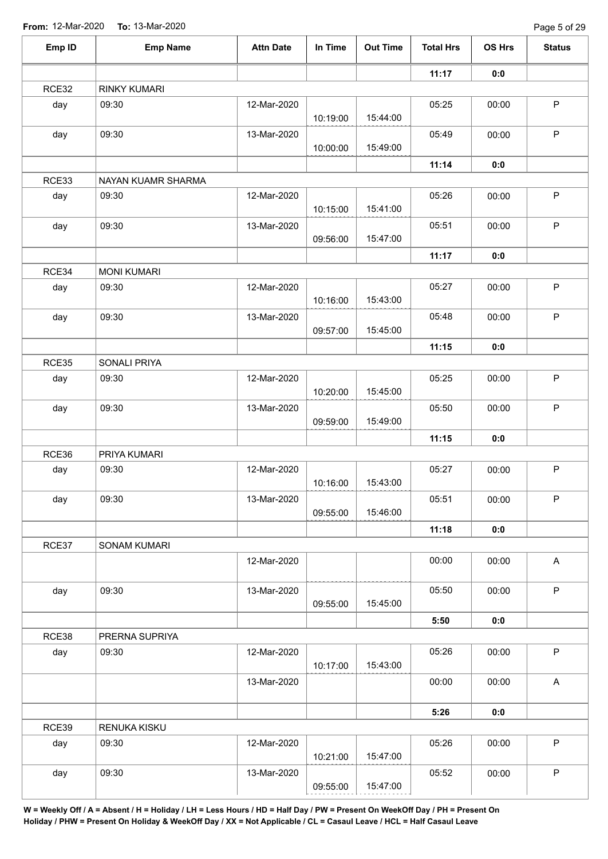| Emp ID | <b>Emp Name</b>    | <b>Attn Date</b> | In Time  | <b>Out Time</b> | <b>Total Hrs</b> | OS Hrs | <b>Status</b>             |
|--------|--------------------|------------------|----------|-----------------|------------------|--------|---------------------------|
|        |                    |                  |          |                 | 11:17            | 0:0    |                           |
| RCE32  | RINKY KUMARI       |                  |          |                 |                  |        |                           |
| day    | 09:30              | 12-Mar-2020      | 10:19:00 | 15:44:00        | 05:25            | 00:00  | P                         |
| day    | 09:30              | 13-Mar-2020      | 10:00:00 | 15:49:00        | 05:49            | 00:00  | $\mathsf P$               |
|        |                    |                  |          |                 | 11:14            | 0:0    |                           |
| RCE33  | NAYAN KUAMR SHARMA |                  |          |                 |                  |        |                           |
| day    | 09:30              | 12-Mar-2020      | 10:15:00 | 15:41:00        | 05:26            | 00:00  | $\sf P$                   |
| day    | 09:30              | 13-Mar-2020      | 09:56:00 | 15:47:00        | 05:51            | 00:00  | $\mathsf P$               |
|        |                    |                  |          |                 | 11:17            | 0:0    |                           |
| RCE34  | <b>MONI KUMARI</b> |                  |          |                 |                  |        |                           |
| day    | 09:30              | 12-Mar-2020      | 10:16:00 | 15:43:00        | 05:27            | 00:00  | P                         |
| day    | 09:30              | 13-Mar-2020      | 09:57:00 | 15:45:00        | 05:48            | 00:00  | $\mathsf P$               |
|        |                    |                  |          |                 | 11:15            | 0:0    |                           |
| RCE35  | SONALI PRIYA       |                  |          |                 |                  |        |                           |
| day    | 09:30              | 12-Mar-2020      | 10:20:00 | 15:45:00        | 05:25            | 00:00  | $\mathsf P$               |
| day    | 09:30              | 13-Mar-2020      | 09:59:00 | 15:49:00        | 05:50            | 00:00  | $\mathsf P$               |
|        |                    |                  |          |                 | 11:15            | 0:0    |                           |
| RCE36  | PRIYA KUMARI       |                  |          |                 |                  |        |                           |
| day    | 09:30              | 12-Mar-2020      | 10:16:00 | 15:43:00        | 05:27            | 00:00  | $\mathsf P$               |
| day    | 09:30              | 13-Mar-2020      | 09:55:00 | 15:46:00        | 05:51            | 00:00  | P                         |
|        |                    |                  |          |                 | 11:18            | 0:0    |                           |
| RCE37  | SONAM KUMARI       |                  |          |                 |                  |        |                           |
|        |                    | 12-Mar-2020      |          |                 | 00:00            | 00:00  | $\boldsymbol{\mathsf{A}}$ |
| day    | 09:30              | 13-Mar-2020      | 09:55:00 | 15:45:00        | 05:50            | 00:00  | $\mathsf P$               |
|        |                    |                  |          |                 | 5:50             | 0:0    |                           |
| RCE38  | PRERNA SUPRIYA     |                  |          |                 |                  |        |                           |
| day    | 09:30              | 12-Mar-2020      | 10:17:00 | 15:43:00        | 05:26            | 00:00  | $\mathsf P$               |
|        |                    | 13-Mar-2020      |          |                 | 00:00            | 00:00  | $\boldsymbol{\mathsf{A}}$ |
|        |                    |                  |          |                 | 5:26             | 0:0    |                           |
| RCE39  | RENUKA KISKU       |                  |          |                 |                  |        |                           |
| day    | 09:30              | 12-Mar-2020      | 10:21:00 | 15:47:00        | 05:26            | 00:00  | $\mathsf P$               |
| day    | 09:30              | 13-Mar-2020      | 09:55:00 | 15:47:00        | 05:52            | 00:00  | $\mathsf P$               |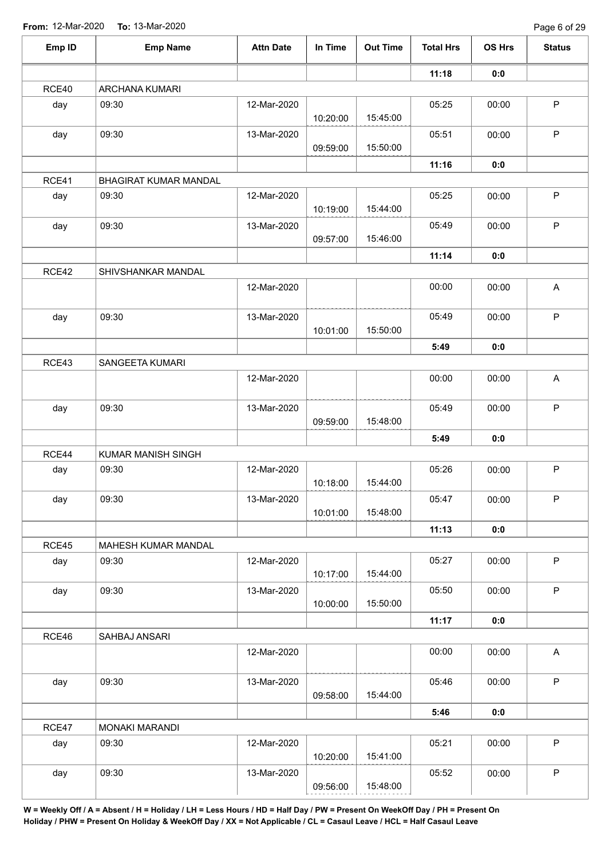| 11:18<br>0:0<br>RCE40<br>ARCHANA KUMARI<br>09:30<br>12-Mar-2020<br>05:25<br>day<br>00:00<br>15:45:00<br>10:20:00<br>09:30<br>day<br>13-Mar-2020<br>05:51<br>00:00<br>15:50:00<br>09:59:00<br>11:16<br>0:0<br>RCE41<br>BHAGIRAT KUMAR MANDAL<br>09:30<br>12-Mar-2020<br>05:25<br>day<br>00:00<br>15:44:00<br>10:19:00<br>09:30<br>13-Mar-2020<br>05:49<br>00:00<br>day | P<br>$\mathsf P$<br>$\mathsf P$<br>$\mathsf P$ |
|-----------------------------------------------------------------------------------------------------------------------------------------------------------------------------------------------------------------------------------------------------------------------------------------------------------------------------------------------------------------------|------------------------------------------------|
|                                                                                                                                                                                                                                                                                                                                                                       |                                                |
|                                                                                                                                                                                                                                                                                                                                                                       |                                                |
|                                                                                                                                                                                                                                                                                                                                                                       |                                                |
|                                                                                                                                                                                                                                                                                                                                                                       |                                                |
|                                                                                                                                                                                                                                                                                                                                                                       |                                                |
|                                                                                                                                                                                                                                                                                                                                                                       |                                                |
|                                                                                                                                                                                                                                                                                                                                                                       |                                                |
| 15:46:00<br>09:57:00                                                                                                                                                                                                                                                                                                                                                  |                                                |
| 11:14<br>0:0                                                                                                                                                                                                                                                                                                                                                          |                                                |
| RCE42<br>SHIVSHANKAR MANDAL                                                                                                                                                                                                                                                                                                                                           |                                                |
| 00:00<br>12-Mar-2020<br>00:00                                                                                                                                                                                                                                                                                                                                         | A                                              |
| 09:30<br>13-Mar-2020<br>05:49<br>00:00<br>day<br>15:50:00<br>10:01:00                                                                                                                                                                                                                                                                                                 | $\mathsf P$                                    |
| 5:49<br>0:0                                                                                                                                                                                                                                                                                                                                                           |                                                |
| RCE43<br>SANGEETA KUMARI                                                                                                                                                                                                                                                                                                                                              |                                                |
| 12-Mar-2020<br>00:00<br>00:00                                                                                                                                                                                                                                                                                                                                         | $\mathsf{A}$                                   |
| 09:30<br>05:49<br>00:00<br>13-Mar-2020<br>day                                                                                                                                                                                                                                                                                                                         | $\mathsf P$                                    |
| 15:48:00<br>09:59:00                                                                                                                                                                                                                                                                                                                                                  |                                                |
| 5:49<br>0:0                                                                                                                                                                                                                                                                                                                                                           |                                                |
| RCE44<br>KUMAR MANISH SINGH                                                                                                                                                                                                                                                                                                                                           |                                                |
| 05:26<br>12-Mar-2020<br>00:00<br>09:30<br>day<br>10:18:00<br>15:44:00                                                                                                                                                                                                                                                                                                 | $\sf P$                                        |
| 05:47<br>09:30<br>13-Mar-2020<br>00:00<br>day<br>15:48:00<br>10:01:00                                                                                                                                                                                                                                                                                                 | P                                              |
| 11:13<br>0:0                                                                                                                                                                                                                                                                                                                                                          |                                                |
| RCE45<br>MAHESH KUMAR MANDAL                                                                                                                                                                                                                                                                                                                                          |                                                |
| 05:27<br>09:30<br>12-Mar-2020<br>00:00<br>day<br>15:44:00<br>10:17:00                                                                                                                                                                                                                                                                                                 | $\mathsf P$                                    |
| 05:50<br>09:30<br>13-Mar-2020<br>00:00<br>day<br>15:50:00<br>10:00:00                                                                                                                                                                                                                                                                                                 | $\mathsf P$                                    |
| 11:17<br>0:0                                                                                                                                                                                                                                                                                                                                                          |                                                |
| RCE46<br>SAHBAJ ANSARI                                                                                                                                                                                                                                                                                                                                                |                                                |
| 12-Mar-2020<br>00:00<br>00:00                                                                                                                                                                                                                                                                                                                                         | $\mathsf A$                                    |
| 09:30<br>13-Mar-2020<br>05:46<br>day<br>00:00<br>15:44:00<br>09:58:00                                                                                                                                                                                                                                                                                                 | $\mathsf P$                                    |
| 5:46<br>0:0                                                                                                                                                                                                                                                                                                                                                           |                                                |
| RCE47<br>MONAKI MARANDI                                                                                                                                                                                                                                                                                                                                               |                                                |
| 09:30<br>12-Mar-2020<br>05:21<br>day<br>00:00<br>15:41:00<br>10:20:00                                                                                                                                                                                                                                                                                                 | $\sf P$                                        |
| 09:30<br>05:52<br>day<br>13-Mar-2020<br>00:00<br>15:48:00<br>09:56:00                                                                                                                                                                                                                                                                                                 | $\mathsf P$                                    |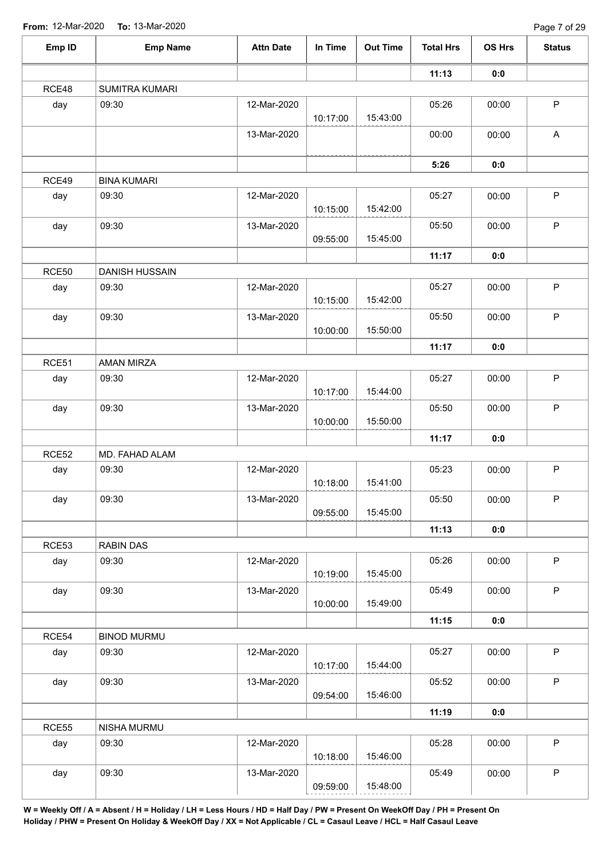| Emp ID       | <b>Emp Name</b>       | <b>Attn Date</b> | In Time  | <b>Out Time</b> | <b>Total Hrs</b> | OS Hrs | <b>Status</b>             |
|--------------|-----------------------|------------------|----------|-----------------|------------------|--------|---------------------------|
|              |                       |                  |          |                 | 11:13            | 0:0    |                           |
| RCE48        | SUMITRA KUMARI        |                  |          |                 |                  |        |                           |
| day          | 09:30                 | 12-Mar-2020      | 10:17:00 | 15:43:00        | 05:26            | 00:00  | P                         |
|              |                       | 13-Mar-2020      |          |                 | 00:00            | 00:00  | $\boldsymbol{\mathsf{A}}$ |
|              |                       |                  |          |                 | 5:26             | 0:0    |                           |
| RCE49        | <b>BINA KUMARI</b>    |                  |          |                 |                  |        |                           |
| day          | 09:30                 | 12-Mar-2020      | 10:15:00 | 15:42:00        | 05:27            | 00:00  | $\sf P$                   |
| day          | 09:30                 | 13-Mar-2020      | 09:55:00 | 15:45:00        | 05:50            | 00:00  | $\mathsf P$               |
|              |                       |                  |          |                 | 11:17            | 0:0    |                           |
| RCE50        | <b>DANISH HUSSAIN</b> |                  |          |                 |                  |        |                           |
| day          | 09:30                 | 12-Mar-2020      | 10:15:00 | 15:42:00        | 05:27            | 00:00  | $\mathsf P$               |
| day          | 09:30                 | 13-Mar-2020      | 10:00:00 | 15:50:00        | 05:50            | 00:00  | $\mathsf P$               |
|              |                       |                  |          |                 | 11:17            | 0:0    |                           |
| RCE51        | AMAN MIRZA            |                  |          |                 |                  |        |                           |
| day          | 09:30                 | 12-Mar-2020      | 10:17:00 | 15:44:00        | 05:27            | 00:00  | $\mathsf P$               |
| day          | 09:30                 | 13-Mar-2020      |          |                 | 05:50            | 00:00  | $\mathsf P$               |
|              |                       |                  | 10:00:00 | 15:50:00        |                  |        |                           |
|              |                       |                  |          |                 | 11:17            | 0:0    |                           |
| RCE52        | MD. FAHAD ALAM        |                  |          |                 |                  |        |                           |
| day          | 09:30                 | 12-Mar-2020      | 10:18:00 | 15:41:00        | 05:23            | 00:00  | $\mathsf P$               |
| day          | 09:30                 | 13-Mar-2020      | 09:55:00 | 15:45:00        | 05:50            | 00:00  | $\mathsf P$               |
|              |                       |                  |          |                 | 11:13            | 0:0    |                           |
| RCE53        | RABIN DAS             |                  |          |                 |                  |        |                           |
| day          | 09:30                 | 12-Mar-2020      | 10:19:00 | 15:45:00        | 05:26            | 00:00  | $\mathsf P$               |
| day          | 09:30                 | 13-Mar-2020      | 10:00:00 | 15:49:00        | 05:49            | 00:00  | $\mathsf P$               |
|              |                       |                  |          |                 | 11:15            | 0:0    |                           |
| RCE54        | <b>BINOD MURMU</b>    |                  |          |                 |                  |        |                           |
| day          | 09:30                 | 12-Mar-2020      | 10:17:00 | 15:44:00        | 05:27            | 00:00  | $\mathsf{P}$              |
| day          | 09:30                 | 13-Mar-2020      | 09:54:00 | 15:46:00        | 05:52            | 00:00  | $\sf P$                   |
|              |                       |                  |          |                 | 11:19            | 0:0    |                           |
| <b>RCE55</b> | NISHA MURMU           |                  |          |                 |                  |        |                           |
| day          | 09:30                 | 12-Mar-2020      | 10:18:00 | 15:46:00        | 05:28            | 00:00  | $\sf P$                   |
| day          | 09:30                 | 13-Mar-2020      | 09:59:00 | 15:48:00        | 05:49            | 00:00  | P                         |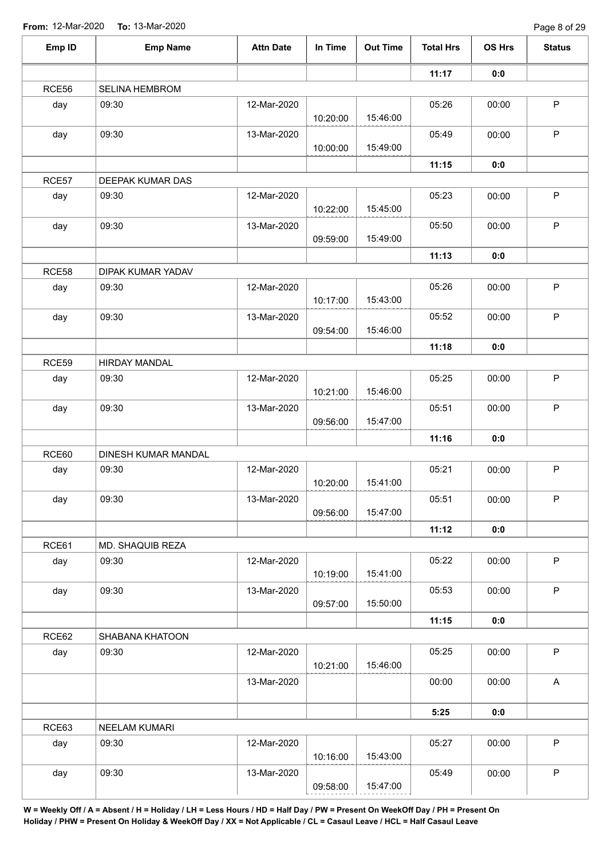| Emp ID       | <b>Emp Name</b>     | <b>Attn Date</b> | In Time  | <b>Out Time</b> | <b>Total Hrs</b> | OS Hrs | <b>Status</b> |
|--------------|---------------------|------------------|----------|-----------------|------------------|--------|---------------|
|              |                     |                  |          |                 | 11:17            | 0:0    |               |
| RCE56        | SELINA HEMBROM      |                  |          |                 |                  |        |               |
| day          | 09:30               | 12-Mar-2020      | 10:20:00 | 15:46:00        | 05:26            | 00:00  | P             |
| day          | 09:30               | 13-Mar-2020      | 10:00:00 | 15:49:00        | 05:49            | 00:00  | $\mathsf P$   |
|              |                     |                  |          |                 | 11:15            | 0:0    |               |
| RCE57        | DEEPAK KUMAR DAS    |                  |          |                 |                  |        |               |
| day          | 09:30               | 12-Mar-2020      | 10:22:00 | 15:45:00        | 05:23            | 00:00  | $\sf P$       |
| day          | 09:30               | 13-Mar-2020      | 09:59:00 | 15:49:00        | 05:50            | 00:00  | $\mathsf P$   |
|              |                     |                  |          |                 | 11:13            | 0:0    |               |
| RCE58        | DIPAK KUMAR YADAV   |                  |          |                 |                  |        |               |
| day          | 09:30               | 12-Mar-2020      | 10:17:00 | 15:43:00        | 05:26            | 00:00  | P             |
| day          | 09:30               | 13-Mar-2020      | 09:54:00 | 15:46:00        | 05:52            | 00:00  | $\mathsf P$   |
|              |                     |                  |          |                 | 11:18            | 0:0    |               |
| <b>RCE59</b> | HIRDAY MANDAL       |                  |          |                 |                  |        |               |
| day          | 09:30               | 12-Mar-2020      | 10:21:00 | 15:46:00        | 05:25            | 00:00  | $\mathsf P$   |
| day          | 09:30               | 13-Mar-2020      | 09:56:00 | 15:47:00        | 05:51            | 00:00  | $\mathsf P$   |
|              |                     |                  |          |                 | 11:16            | 0:0    |               |
| RCE60        | DINESH KUMAR MANDAL |                  |          |                 |                  |        |               |
| day          | 09:30               | 12-Mar-2020      | 10:20:00 | 15:41:00        | 05:21            | 00:00  | $\sf P$       |
| day          | 09:30               | 13-Mar-2020      | 09:56:00 | 15:47:00        | 05:51            | 00:00  | $\sf P$       |
|              |                     |                  |          |                 | 11:12            | 0:0    |               |
| RCE61        | MD. SHAQUIB REZA    |                  |          |                 |                  |        |               |
| day          | 09:30               | 12-Mar-2020      | 10:19:00 | 15:41:00        | 05:22            | 00:00  | $\mathsf P$   |
| day          | 09:30               | 13-Mar-2020      | 09:57:00 | 15:50:00        | 05:53            | 00:00  | $\mathsf{P}$  |
|              |                     |                  |          |                 | 11:15            | 0:0    |               |
| RCE62        | SHABANA KHATOON     |                  |          |                 |                  |        |               |
| day          | 09:30               | 12-Mar-2020      | 10:21:00 | 15:46:00        | 05:25            | 00:00  | $\mathsf{P}$  |
|              |                     | 13-Mar-2020      |          |                 | 00:00            | 00:00  | $\mathsf A$   |
|              |                     |                  |          |                 | 5:25             | 0:0    |               |
| RCE63        | NEELAM KUMARI       |                  |          |                 |                  |        |               |
| day          | 09:30               | 12-Mar-2020      | 10:16:00 | 15:43:00        | 05:27            | 00:00  | $\mathsf P$   |
| day          | 09:30               | 13-Mar-2020      | 09:58:00 | 15:47:00        | 05:49            | 00:00  | $\mathsf P$   |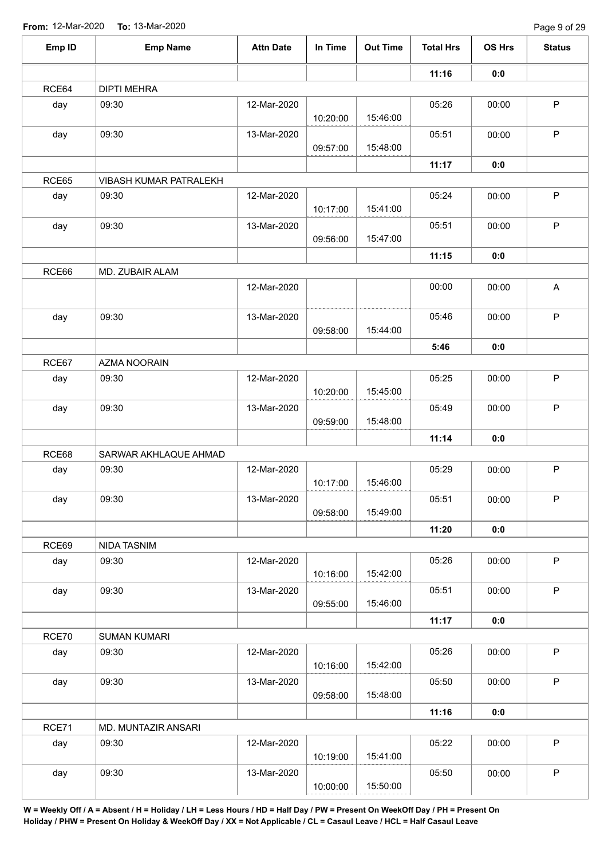| Emp ID | <b>Emp Name</b>        | <b>Attn Date</b> | In Time  | <b>Out Time</b> | <b>Total Hrs</b> | OS Hrs | <b>Status</b> |
|--------|------------------------|------------------|----------|-----------------|------------------|--------|---------------|
|        |                        |                  |          |                 | 11:16            | 0:0    |               |
| RCE64  | <b>DIPTI MEHRA</b>     |                  |          |                 |                  |        |               |
| day    | 09:30                  | 12-Mar-2020      | 10:20:00 | 15:46:00        | 05:26            | 00:00  | P             |
| day    | 09:30                  | 13-Mar-2020      | 09:57:00 | 15:48:00        | 05:51            | 00:00  | $\sf P$       |
|        |                        |                  |          |                 | 11:17            | 0:0    |               |
| RCE65  | VIBASH KUMAR PATRALEKH |                  |          |                 |                  |        |               |
| day    | 09:30                  | 12-Mar-2020      | 10:17:00 | 15:41:00        | 05:24            | 00:00  | $\mathsf P$   |
| day    | 09:30                  | 13-Mar-2020      | 09:56:00 | 15:47:00        | 05:51            | 00:00  | P             |
|        |                        |                  |          |                 | 11:15            | 0:0    |               |
| RCE66  | MD. ZUBAIR ALAM        |                  |          |                 |                  |        |               |
|        |                        | 12-Mar-2020      |          |                 | 00:00            | 00:00  | A             |
| day    | 09:30                  | 13-Mar-2020      | 09:58:00 | 15:44:00        | 05:46            | 00:00  | $\mathsf P$   |
|        |                        |                  |          |                 | 5:46             | 0:0    |               |
| RCE67  | AZMA NOORAIN           |                  |          |                 |                  |        |               |
| day    | 09:30                  | 12-Mar-2020      | 10:20:00 | 15:45:00        | 05:25            | 00:00  | $\mathsf P$   |
| day    | 09:30                  | 13-Mar-2020      |          |                 | 05:49            | 00:00  | $\mathsf P$   |
|        |                        |                  | 09:59:00 | 15:48:00        |                  |        |               |
|        |                        |                  |          |                 | 11:14            | 0:0    |               |
| RCE68  | SARWAR AKHLAQUE AHMAD  |                  |          |                 |                  |        |               |
| day    | 09:30                  | 12-Mar-2020      | 10:17:00 | 15:46:00        | 05:29            | 00:00  | $\mathsf{P}$  |
| day    | 09:30                  | 13-Mar-2020      | 09:58:00 | 15:49:00        | 05:51            | 00:00  | P             |
|        |                        |                  |          |                 | 11:20            | 0:0    |               |
| RCE69  | NIDA TASNIM            |                  |          |                 |                  |        |               |
| day    | 09:30                  | 12-Mar-2020      | 10:16:00 | 15:42:00        | 05:26            | 00:00  | $\mathsf P$   |
| day    | 09:30                  | 13-Mar-2020      | 09:55:00 | 15:46:00        | 05:51            | 00:00  | $\mathsf P$   |
|        |                        |                  |          |                 | 11:17            | 0:0    |               |
| RCE70  | <b>SUMAN KUMARI</b>    |                  |          |                 |                  |        |               |
| day    | 09:30                  | 12-Mar-2020      | 10:16:00 | 15:42:00        | 05:26            | 00:00  | $\mathsf P$   |
| day    | 09:30                  | 13-Mar-2020      | 09:58:00 | 15:48:00        | 05:50            | 00:00  | $\mathsf P$   |
|        |                        |                  |          |                 | 11:16            | 0:0    |               |
| RCE71  | MD. MUNTAZIR ANSARI    |                  |          |                 |                  |        |               |
| day    | 09:30                  | 12-Mar-2020      | 10:19:00 | 15:41:00        | 05:22            | 00:00  | $\sf P$       |
| day    | 09:30                  | 13-Mar-2020      | 10:00:00 | 15:50:00        | 05:50            | 00:00  | $\mathsf P$   |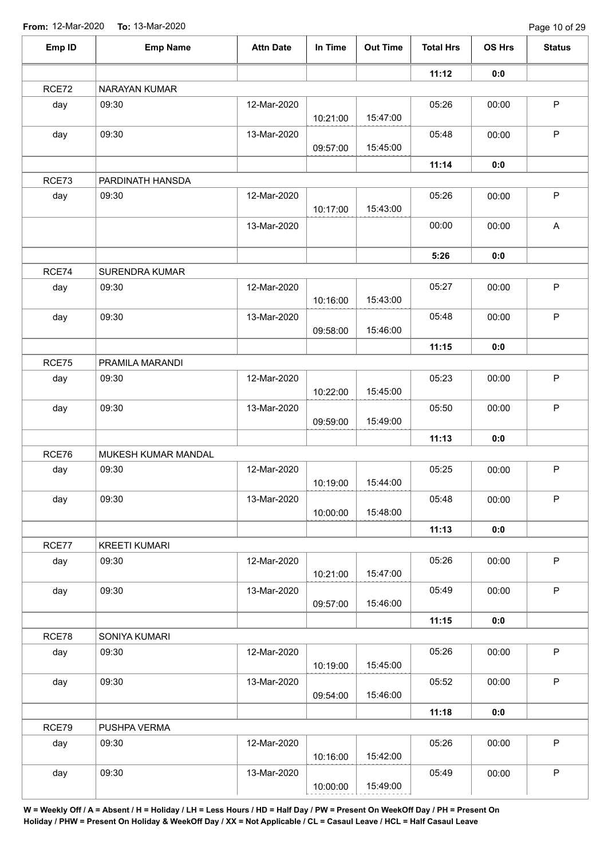| Emp ID | <b>Emp Name</b>       | <b>Attn Date</b> | In Time  | <b>Out Time</b> | <b>Total Hrs</b> | OS Hrs | <b>Status</b> |
|--------|-----------------------|------------------|----------|-----------------|------------------|--------|---------------|
|        |                       |                  |          |                 | 11:12            | 0:0    |               |
| RCE72  | NARAYAN KUMAR         |                  |          |                 |                  |        |               |
| day    | 09:30                 | 12-Mar-2020      | 10:21:00 | 15:47:00        | 05:26            | 00:00  | P             |
| day    | 09:30                 | 13-Mar-2020      | 09:57:00 | 15:45:00        | 05:48            | 00:00  | $\mathsf P$   |
|        |                       |                  |          |                 | 11:14            |        |               |
| RCE73  | PARDINATH HANSDA      |                  |          |                 |                  | 0:0    |               |
|        |                       |                  |          |                 |                  |        | $\sf P$       |
| day    | 09:30                 | 12-Mar-2020      | 10:17:00 | 15:43:00        | 05:26            | 00:00  |               |
|        |                       | 13-Mar-2020      |          |                 | 00:00            | 00:00  | $\mathsf{A}$  |
|        |                       |                  |          |                 | 5:26             | 0:0    |               |
| RCE74  | <b>SURENDRA KUMAR</b> |                  |          |                 |                  |        |               |
| day    | 09:30                 | 12-Mar-2020      | 10:16:00 | 15:43:00        | 05:27            | 00:00  | $\sf P$       |
| day    | 09:30                 | 13-Mar-2020      | 09:58:00 | 15:46:00        | 05:48            | 00:00  | $\mathsf P$   |
|        |                       |                  |          |                 | 11:15            | 0:0    |               |
| RCE75  | PRAMILA MARANDI       |                  |          |                 |                  |        |               |
| day    | 09:30                 | 12-Mar-2020      |          |                 | 05:23            | 00:00  | $\mathsf P$   |
|        |                       |                  | 10:22:00 | 15:45:00        |                  |        |               |
| day    | 09:30                 | 13-Mar-2020      |          |                 | 05:50            | 00:00  | $\mathsf P$   |
|        |                       |                  | 09:59:00 | 15:49:00        |                  |        |               |
|        |                       |                  |          |                 | 11:13            | 0:0    |               |
| RCE76  | MUKESH KUMAR MANDAL   |                  |          |                 |                  |        |               |
| day    | 09:30                 | 12-Mar-2020      | 10:19:00 | 15:44:00        | 05:25            | 00:00  | $\sf P$       |
| day    | 09:30                 | 13-Mar-2020      | 10:00:00 | 15:48:00        | 05:48            | 00:00  | $\sf P$       |
|        |                       |                  |          |                 | 11:13            | 0:0    |               |
| RCE77  | <b>KREETI KUMARI</b>  |                  |          |                 |                  |        |               |
| day    | 09:30                 | 12-Mar-2020      | 10:21:00 | 15:47:00        | 05:26            | 00:00  | $\mathsf P$   |
| day    | 09:30                 | 13-Mar-2020      | 09:57:00 | 15:46:00        | 05:49            | 00:00  | $\mathsf{P}$  |
|        |                       |                  |          |                 | 11:15            | 0:0    |               |
| RCE78  | SONIYA KUMARI         |                  |          |                 |                  |        |               |
| day    | 09:30                 | 12-Mar-2020      |          |                 | 05:26            | 00:00  | $\mathsf{P}$  |
|        |                       |                  | 10:19:00 | 15:45:00        |                  |        |               |
| day    | 09:30                 | 13-Mar-2020      | 09:54:00 | 15:46:00        | 05:52            | 00:00  | $\sf P$       |
|        |                       |                  |          |                 | 11:18            | 0:0    |               |
| RCE79  | PUSHPA VERMA          |                  |          |                 |                  |        |               |
| day    | 09:30                 | 12-Mar-2020      | 10:16:00 | 15:42:00        | 05:26            | 00:00  | $\mathsf P$   |
| day    | 09:30                 | 13-Mar-2020      | 10:00:00 | 15:49:00        | 05:49            | 00:00  | $\mathsf P$   |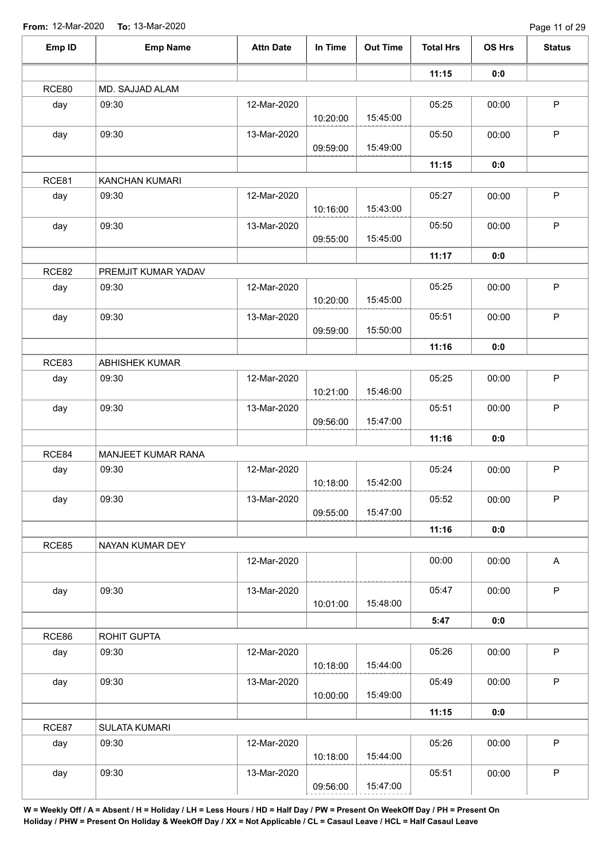| Emp ID | <b>Emp Name</b>      | <b>Attn Date</b> | In Time  | <b>Out Time</b> | <b>Total Hrs</b> | OS Hrs | <b>Status</b> |
|--------|----------------------|------------------|----------|-----------------|------------------|--------|---------------|
|        |                      |                  |          |                 | 11:15            | 0:0    |               |
| RCE80  | MD. SAJJAD ALAM      |                  |          |                 |                  |        |               |
| day    | 09:30                | 12-Mar-2020      | 10:20:00 | 15:45:00        | 05:25            | 00:00  | P             |
| day    | 09:30                | 13-Mar-2020      | 09:59:00 | 15:49:00        | 05:50            | 00:00  | $\mathsf P$   |
|        |                      |                  |          |                 | 11:15            | 0:0    |               |
| RCE81  | KANCHAN KUMARI       |                  |          |                 |                  |        |               |
| day    | 09:30                | 12-Mar-2020      | 10:16:00 | 15:43:00        | 05:27            | 00:00  | $\mathsf P$   |
| day    | 09:30                | 13-Mar-2020      | 09:55:00 | 15:45:00        | 05:50            | 00:00  | $\mathsf{P}$  |
|        |                      |                  |          |                 | 11:17            | 0:0    |               |
| RCE82  | PREMJIT KUMAR YADAV  |                  |          |                 |                  |        |               |
| day    | 09:30                | 12-Mar-2020      | 10:20:00 | 15:45:00        | 05:25            | 00:00  | P             |
| day    | 09:30                | 13-Mar-2020      | 09:59:00 | 15:50:00        | 05:51            | 00:00  | $\mathsf P$   |
|        |                      |                  |          |                 | 11:16            | 0:0    |               |
| RCE83  | ABHISHEK KUMAR       |                  |          |                 |                  |        |               |
| day    | 09:30                | 12-Mar-2020      | 10:21:00 | 15:46:00        | 05:25            | 00:00  | $\mathsf P$   |
| day    | 09:30                | 13-Mar-2020      |          |                 | 05:51            | 00:00  | $\mathsf P$   |
|        |                      |                  | 09:56:00 | 15:47:00        |                  |        |               |
|        |                      |                  |          |                 | 11:16            | 0:0    |               |
| RCE84  | MANJEET KUMAR RANA   |                  |          |                 |                  |        |               |
| day    | 09:30                | 12-Mar-2020      | 10:18:00 | 15:42:00        | 05:24            | 00:00  | $\mathsf{P}$  |
| day    | 09:30                | 13-Mar-2020      | 09:55:00 | 15:47:00        | 05:52            | 00:00  | $\mathsf P$   |
|        |                      |                  |          |                 | 11:16            | 0:0    |               |
| RCE85  | NAYAN KUMAR DEY      |                  |          |                 |                  |        |               |
|        |                      | 12-Mar-2020      |          |                 | 00:00            | 00:00  | $\mathsf{A}$  |
| day    | 09:30                | 13-Mar-2020      | 10:01:00 | 15:48:00        | 05:47            | 00:00  | $\mathsf{P}$  |
|        |                      |                  |          |                 | 5:47             | 0:0    |               |
| RCE86  | ROHIT GUPTA          |                  |          |                 |                  |        |               |
| day    | 09:30                | 12-Mar-2020      | 10:18:00 | 15:44:00        | 05:26            | 00:00  | $\mathsf{P}$  |
| day    | 09:30                | 13-Mar-2020      | 10:00:00 | 15:49:00        | 05:49            | 00:00  | $\mathsf P$   |
|        |                      |                  |          |                 | 11:15            | 0:0    |               |
| RCE87  | <b>SULATA KUMARI</b> |                  |          |                 |                  |        |               |
| day    | 09:30                | 12-Mar-2020      | 10:18:00 | 15:44:00        | 05:26            | 00:00  | $\mathsf P$   |
| day    | 09:30                | 13-Mar-2020      | 09:56:00 | 15:47:00        | 05:51            | 00:00  | $\mathsf P$   |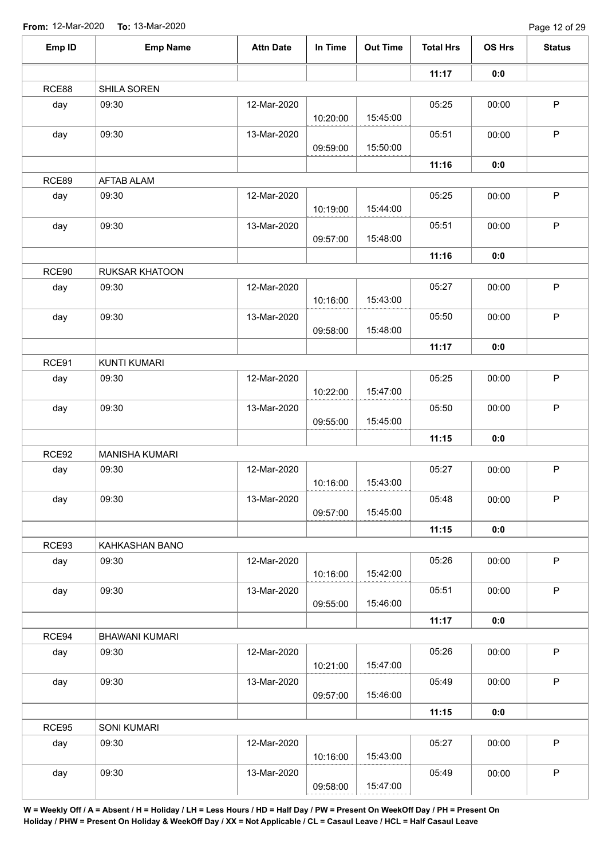| Emp ID | <b>Emp Name</b>     | <b>Attn Date</b> | In Time  | <b>Out Time</b> | <b>Total Hrs</b> | OS Hrs | <b>Status</b> |
|--------|---------------------|------------------|----------|-----------------|------------------|--------|---------------|
|        |                     |                  |          |                 | 11:17            | 0:0    |               |
| RCE88  | SHILA SOREN         |                  |          |                 |                  |        |               |
| day    | 09:30               | 12-Mar-2020      | 10:20:00 | 15:45:00        | 05:25            | 00:00  | $\mathsf{P}$  |
| day    | 09:30               | 13-Mar-2020      | 09:59:00 | 15:50:00        | 05:51            | 00:00  | $\mathsf P$   |
|        |                     |                  |          |                 | 11:16            | 0:0    |               |
| RCE89  | <b>AFTAB ALAM</b>   |                  |          |                 |                  |        |               |
| day    | 09:30               | 12-Mar-2020      | 10:19:00 | 15:44:00        | 05:25            | 00:00  | $\mathsf P$   |
| day    | 09:30               | 13-Mar-2020      | 09:57:00 | 15:48:00        | 05:51            | 00:00  | $\mathsf{P}$  |
|        |                     |                  |          |                 | 11:16            | 0:0    |               |
| RCE90  | RUKSAR KHATOON      |                  |          |                 |                  |        |               |
| day    | 09:30               | 12-Mar-2020      | 10:16:00 | 15:43:00        | 05:27            | 00:00  | $\mathsf P$   |
| day    | 09:30               | 13-Mar-2020      | 09:58:00 | 15:48:00        | 05:50            | 00:00  | $\mathsf P$   |
|        |                     |                  |          |                 | 11:17            | 0:0    |               |
| RCE91  | <b>KUNTI KUMARI</b> |                  |          |                 |                  |        |               |
| day    | 09:30               | 12-Mar-2020      | 10:22:00 | 15:47:00        | 05:25            | 00:00  | $\mathsf P$   |
| day    | 09:30               | 13-Mar-2020      | 09:55:00 | 15:45:00        | 05:50            | 00:00  | $\mathsf P$   |
|        |                     |                  |          |                 | 11:15            | 0:0    |               |
| RCE92  | MANISHA KUMARI      |                  |          |                 |                  |        |               |
| day    | 09:30               | 12-Mar-2020      | 10:16:00 | 15:43:00        | 05:27            | 00:00  | $\sf P$       |
| day    | 09:30               | 13-Mar-2020      | 09:57:00 | 15:45:00        | 05:48            | 00:00  | $\mathsf P$   |
|        |                     |                  |          |                 | 11:15            | 0:0    |               |
| RCE93  | KAHKASHAN BANO      |                  |          |                 |                  |        |               |
| day    | 09:30               | 12-Mar-2020      | 10:16:00 | 15:42:00        | 05:26            | 00:00  | $\mathsf{P}$  |
| day    | 09:30               | 13-Mar-2020      | 09:55:00 | 15:46:00        | 05:51            | 00:00  | $\mathsf P$   |
|        |                     |                  |          |                 | 11:17            | 0:0    |               |
| RCE94  | BHAWANI KUMARI      |                  |          |                 |                  |        |               |
| day    | 09:30               | 12-Mar-2020      | 10:21:00 | 15:47:00        | 05:26            | 00:00  | $\mathsf{P}$  |
| day    | 09:30               | 13-Mar-2020      | 09:57:00 | 15:46:00        | 05:49            | 00:00  | $\sf P$       |
|        |                     |                  |          |                 | 11:15            | 0:0    |               |
| RCE95  | SONI KUMARI         |                  |          |                 |                  |        |               |
| day    | 09:30               | 12-Mar-2020      | 10:16:00 | 15:43:00        | 05:27            | 00:00  | $\mathsf{P}$  |
| day    | 09:30               | 13-Mar-2020      | 09:58:00 | 15:47:00        | 05:49            | 00:00  | $\mathsf P$   |
|        |                     |                  |          |                 |                  |        |               |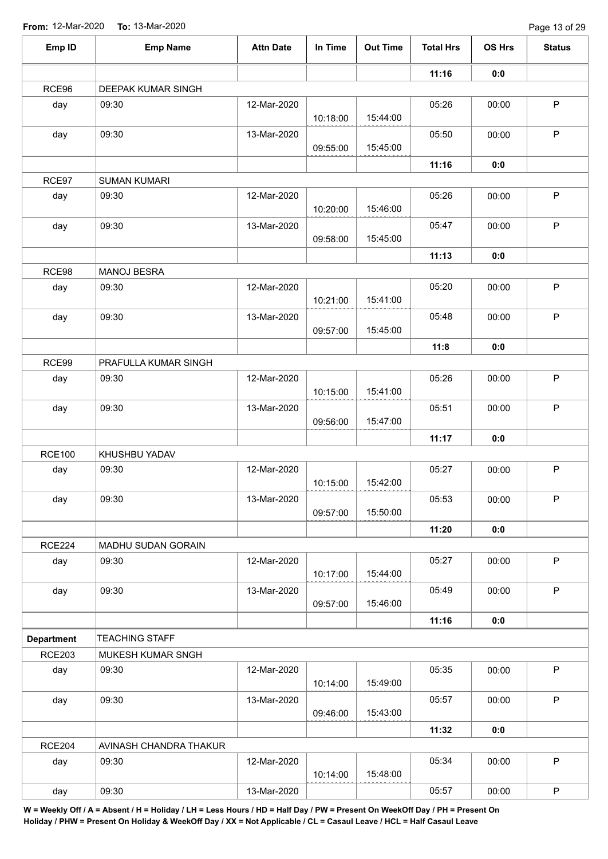| Emp ID            | <b>Emp Name</b>        | <b>Attn Date</b> | In Time  | <b>Out Time</b> | <b>Total Hrs</b> | OS Hrs | <b>Status</b> |
|-------------------|------------------------|------------------|----------|-----------------|------------------|--------|---------------|
|                   |                        |                  |          |                 | 11:16            | 0:0    |               |
| RCE96             | DEEPAK KUMAR SINGH     |                  |          |                 |                  |        |               |
| day               | 09:30                  | 12-Mar-2020      | 10:18:00 | 15:44:00        | 05:26            | 00:00  | P             |
| day               | 09:30                  | 13-Mar-2020      | 09:55:00 | 15:45:00        | 05:50            | 00:00  | $\mathsf P$   |
|                   |                        |                  |          |                 | 11:16            | 0:0    |               |
| RCE97             | <b>SUMAN KUMARI</b>    |                  |          |                 |                  |        |               |
| day               | 09:30                  | 12-Mar-2020      | 10:20:00 | 15:46:00        | 05:26            | 00:00  | $\mathsf P$   |
| day               | 09:30                  | 13-Mar-2020      | 09:58:00 | 15:45:00        | 05:47            | 00:00  | $\mathsf P$   |
|                   |                        |                  |          |                 | 11:13            | 0:0    |               |
| RCE98             | <b>MANOJ BESRA</b>     |                  |          |                 |                  |        |               |
| day               | 09:30                  | 12-Mar-2020      | 10:21:00 | 15:41:00        | 05:20            | 00:00  | P             |
| day               | 09:30                  | 13-Mar-2020      | 09:57:00 | 15:45:00        | 05:48            | 00:00  | $\mathsf P$   |
|                   |                        |                  |          |                 | 11:8             | 0:0    |               |
| RCE99             | PRAFULLA KUMAR SINGH   |                  |          |                 |                  |        |               |
| day               | 09:30                  | 12-Mar-2020      | 10:15:00 | 15:41:00        | 05:26            | 00:00  | $\mathsf P$   |
| day               | 09:30                  | 13-Mar-2020      | 09:56:00 | 15:47:00        | 05:51            | 00:00  | $\mathsf P$   |
|                   |                        |                  |          |                 | 11:17            | 0:0    |               |
| <b>RCE100</b>     | KHUSHBU YADAV          |                  |          |                 |                  |        |               |
| day               | 09:30                  | 12-Mar-2020      |          |                 | 05:27            | 00:00  | $\mathsf P$   |
|                   |                        |                  | 10:15:00 | 15:42:00        |                  |        |               |
| day               | 09:30                  | 13-Mar-2020      | 09:57:00 | 15:50:00        | 05:53            | 00:00  | $\sf P$       |
|                   |                        |                  |          |                 | 11:20            | 0:0    |               |
| <b>RCE224</b>     | MADHU SUDAN GORAIN     |                  |          |                 |                  |        |               |
| day               | 09:30                  | 12-Mar-2020      | 10:17:00 | 15:44:00        | 05:27            | 00:00  | $\mathsf P$   |
| day               | 09:30                  | 13-Mar-2020      | 09:57:00 | 15:46:00        | 05:49            | 00:00  | P             |
|                   |                        |                  |          |                 | 11:16            | 0:0    |               |
| <b>Department</b> | <b>TEACHING STAFF</b>  |                  |          |                 |                  |        |               |
| <b>RCE203</b>     | MUKESH KUMAR SNGH      |                  |          |                 |                  |        |               |
| day               | 09:30                  | 12-Mar-2020      | 10:14:00 | 15:49:00        | 05:35            | 00:00  | $\mathsf P$   |
| day               | 09:30                  | 13-Mar-2020      | 09:46:00 | 15:43:00        | 05:57            | 00:00  | $\mathsf{P}$  |
|                   |                        |                  |          |                 | 11:32            | 0:0    |               |
| <b>RCE204</b>     | AVINASH CHANDRA THAKUR |                  |          |                 |                  |        |               |
| day               | 09:30                  | 12-Mar-2020      | 10:14:00 | 15:48:00        | 05:34            | 00:00  | $\mathsf P$   |
| day               | 09:30                  | 13-Mar-2020      |          |                 | 05:57            | 00:00  | $\mathsf P$   |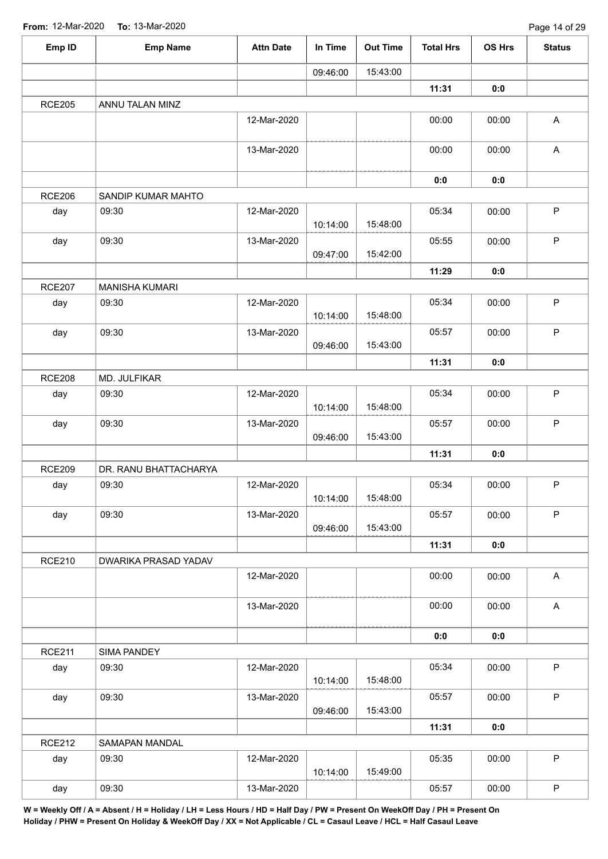| Emp ID        | <b>Emp Name</b>       | <b>Attn Date</b> | In Time  | <b>Out Time</b> | <b>Total Hrs</b> | <b>OS Hrs</b> | <b>Status</b> |
|---------------|-----------------------|------------------|----------|-----------------|------------------|---------------|---------------|
|               |                       |                  | 09:46:00 | 15:43:00        |                  |               |               |
|               |                       |                  |          |                 | 11:31            | 0:0           |               |
| <b>RCE205</b> | ANNU TALAN MINZ       |                  |          |                 |                  |               |               |
|               |                       | 12-Mar-2020      |          |                 | 00:00            | 00:00         | $\mathsf A$   |
|               |                       | 13-Mar-2020      |          |                 | 00:00            | 00:00         | $\mathsf A$   |
|               |                       |                  |          |                 | 0:0              | 0:0           |               |
| <b>RCE206</b> | SANDIP KUMAR MAHTO    |                  |          |                 |                  |               |               |
| day           | 09:30                 | 12-Mar-2020      | 10:14:00 | 15:48:00        | 05:34            | 00:00         | $\mathsf P$   |
| day           | 09:30                 | 13-Mar-2020      | 09:47:00 | 15:42:00        | 05:55            | 00:00         | $\mathsf P$   |
|               |                       |                  |          |                 | 11:29            | 0:0           |               |
| <b>RCE207</b> | <b>MANISHA KUMARI</b> |                  |          |                 |                  |               |               |
| day           | 09:30                 | 12-Mar-2020      | 10:14:00 | 15:48:00        | 05:34            | 00:00         | $\mathsf P$   |
| day           | 09:30                 | 13-Mar-2020      | 09:46:00 | 15:43:00        | 05:57            | 00:00         | $\mathsf P$   |
|               |                       |                  |          |                 | 11:31            | 0:0           |               |
| <b>RCE208</b> | MD. JULFIKAR          |                  |          |                 |                  |               |               |
| day           | 09:30                 | 12-Mar-2020      | 10:14:00 | 15:48:00        | 05:34            | 00:00         | $\mathsf P$   |
| day           | 09:30                 | 13-Mar-2020      | 09:46:00 | 15:43:00        | 05:57            | 00:00         | $\mathsf P$   |
|               |                       |                  |          |                 | 11:31            | 0:0           |               |
| <b>RCE209</b> | DR. RANU BHATTACHARYA |                  |          |                 |                  |               |               |
| day           | 09:30                 | 12-Mar-2020      | 10:14:00 | 15:48:00        | 05:34            | 00:00         | $\mathsf P$   |
| day           | 09:30                 | 13-Mar-2020      | 09:46:00 | 15:43:00        | 05:57            | 00:00         | $\mathsf P$   |
|               |                       |                  |          |                 | 11:31            | 0:0           |               |
| <b>RCE210</b> | DWARIKA PRASAD YADAV  |                  |          |                 |                  |               |               |
|               |                       | 12-Mar-2020      |          |                 | 00:00            | 00:00         | $\mathsf{A}$  |
|               |                       | 13-Mar-2020      |          |                 | 00:00            | 00:00         | $\mathsf A$   |
|               |                       |                  |          |                 | 0:0              | 0:0           |               |
| <b>RCE211</b> | SIMA PANDEY           |                  |          |                 |                  |               |               |
| day           | 09:30                 | 12-Mar-2020      | 10:14:00 | 15:48:00        | 05:34            | 00:00         | $\sf P$       |
| day           | 09:30                 | 13-Mar-2020      | 09:46:00 | 15:43:00        | 05:57            | 00:00         | $\mathsf P$   |
|               |                       |                  |          |                 | 11:31            | 0:0           |               |
| <b>RCE212</b> | SAMAPAN MANDAL        |                  |          |                 |                  |               |               |
| day           | 09:30                 | 12-Mar-2020      | 10:14:00 | 15:49:00        | 05:35            | 00:00         | $\mathsf P$   |
| day           | 09:30                 | 13-Mar-2020      |          |                 | 05:57            | 00:00         | $\mathsf P$   |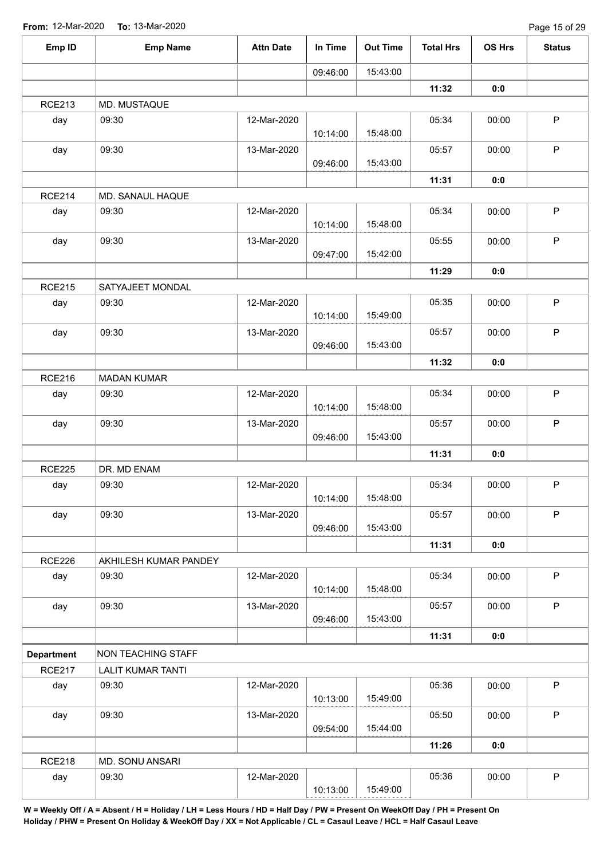| Emp ID            | <b>Emp Name</b>           | <b>Attn Date</b> | In Time  | <b>Out Time</b> | <b>Total Hrs</b> | OS Hrs | <b>Status</b> |
|-------------------|---------------------------|------------------|----------|-----------------|------------------|--------|---------------|
|                   |                           |                  | 09:46:00 | 15:43:00        |                  |        |               |
|                   |                           |                  |          |                 | 11:32            | 0:0    |               |
| <b>RCE213</b>     | MD. MUSTAQUE              |                  |          |                 |                  |        |               |
| day               | 09:30                     | 12-Mar-2020      | 10:14:00 | 15:48:00        | 05:34            | 00:00  | $\mathsf P$   |
| day               | 09:30                     | 13-Mar-2020      | 09:46:00 | 15:43:00        | 05:57            | 00:00  | $\mathsf P$   |
|                   |                           |                  |          |                 | 11:31            | 0:0    |               |
| <b>RCE214</b>     | MD. SANAUL HAQUE          |                  |          |                 |                  |        |               |
| day               | 09:30                     | 12-Mar-2020      | 10:14:00 | 15:48:00        | 05:34            | 00:00  | $\mathsf P$   |
| day               | 09:30                     | 13-Mar-2020      | 09:47:00 | 15:42:00        | 05:55            | 00:00  | $\mathsf P$   |
|                   |                           |                  |          |                 | 11:29            | 0:0    |               |
| <b>RCE215</b>     | SATYAJEET MONDAL          |                  |          |                 |                  |        |               |
| day               | 09:30                     | 12-Mar-2020      | 10:14:00 | 15:49:00        | 05:35            | 00:00  | $\sf P$       |
| day               | 09:30                     | 13-Mar-2020      | 09:46:00 | 15:43:00        | 05:57            | 00:00  | $\mathsf P$   |
|                   |                           |                  |          |                 | 11:32            | 0:0    |               |
| <b>RCE216</b>     | <b>MADAN KUMAR</b>        |                  |          |                 |                  |        |               |
| day               | 09:30                     | 12-Mar-2020      | 10:14:00 | 15:48:00        | 05:34            | 00:00  | $\mathsf P$   |
| day               | 09:30                     | 13-Mar-2020      | 09:46:00 | 15:43:00        | 05:57            | 00:00  | $\mathsf P$   |
|                   |                           |                  |          |                 | 11:31            | 0:0    |               |
| <b>RCE225</b>     | DR. MD ENAM               |                  |          |                 |                  |        |               |
| day               | 09:30                     | 12-Mar-2020      | 10:14:00 | 15:48:00        | 05:34            | 00:00  | P             |
| day               | 09:30                     | 13-Mar-2020      | 09:46:00 | 15:43:00        | 05:57            | 00:00  | $\mathsf{P}$  |
|                   |                           |                  |          |                 | 11:31            | 0:0    |               |
| <b>RCE226</b>     | AKHILESH KUMAR PANDEY     |                  |          |                 |                  |        |               |
| day               | 09:30                     | 12-Mar-2020      | 10:14:00 | 15:48:00        | 05:34            | 00:00  | $\mathsf{P}$  |
| day               | 09:30                     | 13-Mar-2020      | 09:46:00 | 15:43:00        | 05:57            | 00:00  | $\mathsf P$   |
|                   |                           |                  |          |                 | 11:31            | 0:0    |               |
| <b>Department</b> | <b>NON TEACHING STAFF</b> |                  |          |                 |                  |        |               |
| <b>RCE217</b>     | <b>LALIT KUMAR TANTI</b>  |                  |          |                 |                  |        |               |
| day               | 09:30                     | 12-Mar-2020      | 10:13:00 | 15:49:00        | 05:36            | 00:00  | $\mathsf P$   |
| day               | 09:30                     | 13-Mar-2020      | 09:54:00 | 15:44:00        | 05:50            | 00:00  | $\mathsf{P}$  |
|                   |                           |                  |          |                 | 11:26            | 0:0    |               |
| <b>RCE218</b>     | MD. SONU ANSARI           |                  |          |                 |                  |        |               |
| day               | 09:30                     | 12-Mar-2020      | 10:13:00 | 15:49:00        | 05:36            | 00:00  | $\mathsf P$   |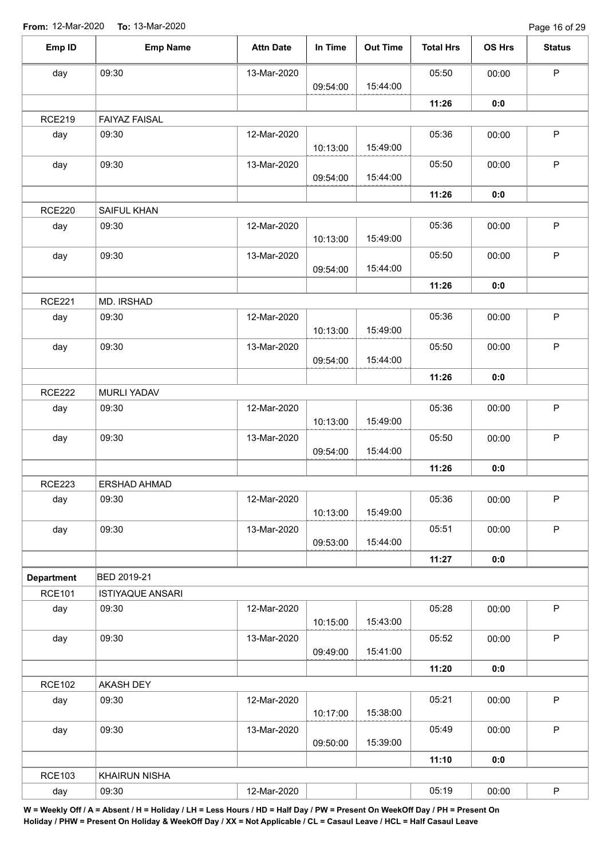Page 16 of 29

| Emp ID            | <b>Emp Name</b>         | <b>Attn Date</b> | In Time  | <b>Out Time</b> | <b>Total Hrs</b> | OS Hrs | <b>Status</b> |
|-------------------|-------------------------|------------------|----------|-----------------|------------------|--------|---------------|
| day               | 09:30                   | 13-Mar-2020      |          |                 | 05:50            | 00:00  | $\mathsf P$   |
|                   |                         |                  | 09:54:00 | 15:44:00        |                  |        |               |
|                   |                         |                  |          |                 | 11:26            | 0:0    |               |
| <b>RCE219</b>     | <b>FAIYAZ FAISAL</b>    |                  |          |                 |                  |        |               |
| day               | 09:30                   | 12-Mar-2020      |          |                 | 05:36            | 00:00  | $\sf P$       |
|                   |                         |                  | 10:13:00 | 15:49:00        |                  |        |               |
| day               | 09:30                   | 13-Mar-2020      |          |                 | 05:50            | 00:00  | $\sf P$       |
|                   |                         |                  | 09:54:00 | 15:44:00        |                  |        |               |
|                   |                         |                  |          |                 | 11:26            | 0:0    |               |
| <b>RCE220</b>     | SAIFUL KHAN             |                  |          |                 |                  |        |               |
| day               | 09:30                   | 12-Mar-2020      | 10:13:00 | 15:49:00        | 05:36            | 00:00  | $\sf P$       |
| day               | 09:30                   | 13-Mar-2020      |          |                 | 05:50            | 00:00  | $\sf P$       |
|                   |                         |                  | 09:54:00 | 15:44:00        |                  |        |               |
|                   |                         |                  |          |                 | 11:26            | 0:0    |               |
| <b>RCE221</b>     | MD. IRSHAD              |                  |          |                 |                  |        |               |
| day               | 09:30                   | 12-Mar-2020      |          |                 | 05:36            | 00:00  | $\sf P$       |
|                   |                         |                  | 10:13:00 | 15:49:00        |                  |        |               |
| day               | 09:30                   | 13-Mar-2020      |          |                 | 05:50            | 00:00  | P             |
|                   |                         |                  | 09:54:00 | 15:44:00        |                  |        |               |
|                   |                         |                  |          |                 | 11:26            | 0:0    |               |
| <b>RCE222</b>     | MURLI YADAV             |                  |          |                 |                  |        |               |
| day               | 09:30                   | 12-Mar-2020      |          |                 | 05:36            | 00:00  | $\mathsf P$   |
|                   |                         |                  | 10:13:00 | 15:49:00        |                  |        |               |
| day               | 09:30                   | 13-Mar-2020      |          |                 | 05:50            | 00:00  | $\sf P$       |
|                   |                         |                  | 09:54:00 | 15:44:00        |                  |        |               |
|                   |                         |                  |          |                 | 11:26            | 0:0    |               |
| <b>RCE223</b>     | ERSHAD AHMAD            |                  |          |                 |                  |        |               |
| day               | 09:30                   | 12-Mar-2020      |          |                 | 05:36            | 00:00  | $\mathsf P$   |
|                   |                         |                  | 10:13:00 | 15:49:00        |                  |        |               |
| day               | 09:30                   | 13-Mar-2020      |          |                 | 05:51            | 00:00  | P             |
|                   |                         |                  | 09:53:00 | 15:44:00        |                  |        |               |
|                   |                         |                  |          |                 | 11:27            | 0:0    |               |
| <b>Department</b> | <b>BED 2019-21</b>      |                  |          |                 |                  |        |               |
| <b>RCE101</b>     | <b>ISTIYAQUE ANSARI</b> |                  |          |                 |                  |        |               |
| day               | 09:30                   | 12-Mar-2020      |          |                 | 05:28            | 00:00  | $\mathsf P$   |
|                   |                         |                  | 10:15:00 | 15:43:00        |                  |        |               |
| day               | 09:30                   | 13-Mar-2020      |          |                 | 05:52            | 00:00  | $\mathsf P$   |
|                   |                         |                  | 09:49:00 | 15:41:00        |                  |        |               |
|                   |                         |                  |          |                 | 11:20            | 0:0    |               |
| <b>RCE102</b>     | AKASH DEY               |                  |          |                 |                  |        |               |
| day               | 09:30                   | 12-Mar-2020      |          |                 | 05:21            | 00:00  | $\mathsf P$   |
|                   |                         |                  | 10:17:00 | 15:38:00        |                  |        |               |
| day               | 09:30                   | 13-Mar-2020      |          |                 | 05:49            | 00:00  | $\mathsf P$   |
|                   |                         |                  | 09:50:00 | 15:39:00        |                  |        |               |
|                   |                         |                  |          |                 | 11:10            | 0:0    |               |
| <b>RCE103</b>     | KHAIRUN NISHA           |                  |          |                 |                  |        |               |
| day               | 09:30                   | 12-Mar-2020      |          |                 | 05:19            | 00:00  | P             |
|                   |                         |                  |          |                 |                  |        |               |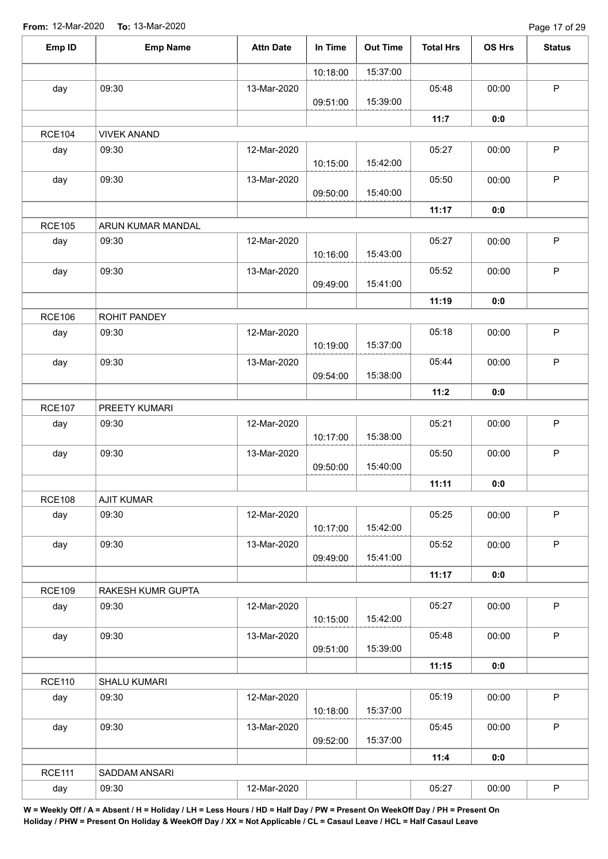| Emp ID        | <b>Emp Name</b>    | <b>Attn Date</b> | In Time  | <b>Out Time</b> | <b>Total Hrs</b> | OS Hrs | <b>Status</b> |
|---------------|--------------------|------------------|----------|-----------------|------------------|--------|---------------|
|               |                    |                  | 10:18:00 | 15:37:00        |                  |        |               |
| day           | 09:30              | 13-Mar-2020      | 09:51:00 | 15:39:00        | 05:48            | 00:00  | $\mathsf P$   |
|               |                    |                  |          |                 | 11:7             | 0:0    |               |
| <b>RCE104</b> | <b>VIVEK ANAND</b> |                  |          |                 |                  |        |               |
| day           | 09:30              | 12-Mar-2020      | 10:15:00 | 15:42:00        | 05:27            | 00:00  | $\mathsf P$   |
| day           | 09:30              | 13-Mar-2020      | 09:50:00 | 15:40:00        | 05:50            | 00:00  | $\mathsf{P}$  |
|               |                    |                  |          |                 | 11:17            | 0:0    |               |
| <b>RCE105</b> | ARUN KUMAR MANDAL  |                  |          |                 |                  |        |               |
| day           | 09:30              | 12-Mar-2020      | 10:16:00 | 15:43:00        | 05:27            | 00:00  | $\mathsf P$   |
| day           | 09:30              | 13-Mar-2020      | 09:49:00 | 15:41:00        | 05:52            | 00:00  | $\sf P$       |
|               |                    |                  |          |                 | 11:19            | 0:0    |               |
| <b>RCE106</b> | ROHIT PANDEY       |                  |          |                 |                  |        |               |
| day           | 09:30              | 12-Mar-2020      | 10:19:00 | 15:37:00        | 05:18            | 00:00  | $\mathsf P$   |
| day           | 09:30              | 13-Mar-2020      | 09:54:00 | 15:38:00        | 05:44            | 00:00  | $\mathsf{P}$  |
|               |                    |                  |          |                 | 11:2             | 0:0    |               |
| <b>RCE107</b> | PREETY KUMARI      |                  |          |                 |                  |        |               |
| day           | 09:30              | 12-Mar-2020      | 10:17:00 | 15:38:00        | 05:21            | 00:00  | $\mathsf P$   |
| day           | 09:30              | 13-Mar-2020      | 09:50:00 | 15:40:00        | 05:50            | 00:00  | $\mathsf P$   |
|               |                    |                  |          |                 | 11:11            | 0:0    |               |
| <b>RCE108</b> | <b>AJIT KUMAR</b>  |                  |          |                 |                  |        |               |
| day           | 09:30              | 12-Mar-2020      | 10:17:00 | 15:42:00        | 05:25            | 00:00  | $\mathsf P$   |
| day           | 09:30              | 13-Mar-2020      | 09:49:00 | 15:41:00        | 05:52            | 00:00  | P             |
|               |                    |                  |          |                 | 11:17            | 0:0    |               |
| <b>RCE109</b> | RAKESH KUMR GUPTA  |                  |          |                 |                  |        |               |
| day           | 09:30              | 12-Mar-2020      | 10:15:00 | 15:42:00        | 05:27            | 00:00  | $\mathsf{P}$  |
| day           | 09:30              | 13-Mar-2020      | 09:51:00 | 15:39:00        | 05:48            | 00:00  | $\mathsf P$   |
|               |                    |                  |          |                 | 11:15            | 0:0    |               |
| <b>RCE110</b> | SHALU KUMARI       |                  |          |                 |                  |        |               |
| day           | 09:30              | 12-Mar-2020      | 10:18:00 | 15:37:00        | 05:19            | 00:00  | $\mathsf P$   |
| day           | 09:30              | 13-Mar-2020      | 09:52:00 | 15:37:00        | 05:45            | 00:00  | P             |
|               |                    |                  |          |                 | 11:4             | 0:0    |               |
| <b>RCE111</b> | SADDAM ANSARI      |                  |          |                 |                  |        |               |
| day           | 09:30              | 12-Mar-2020      |          |                 | 05:27            | 00:00  | $\mathsf P$   |
|               |                    |                  |          |                 |                  |        |               |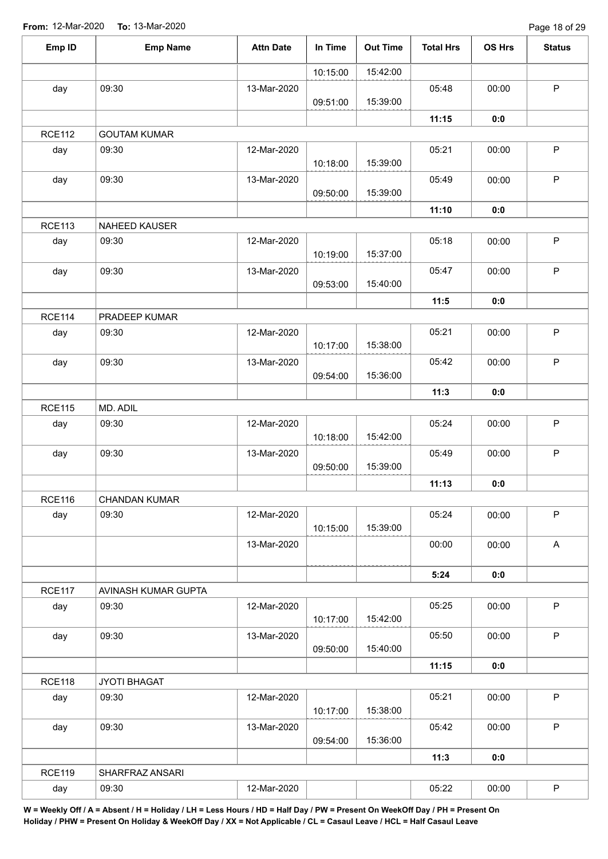| Emp ID        | <b>Emp Name</b>      | <b>Attn Date</b> | In Time  | <b>Out Time</b> | <b>Total Hrs</b> | OS Hrs | <b>Status</b> |
|---------------|----------------------|------------------|----------|-----------------|------------------|--------|---------------|
|               |                      |                  | 10:15:00 | 15:42:00        |                  |        |               |
| day           | 09:30                | 13-Mar-2020      | 09:51:00 | 15:39:00        | 05:48            | 00:00  | $\sf P$       |
|               |                      |                  |          |                 | 11:15            | 0:0    |               |
| <b>RCE112</b> | <b>GOUTAM KUMAR</b>  |                  |          |                 |                  |        |               |
| day           | 09:30                | 12-Mar-2020      | 10:18:00 | 15:39:00        | 05:21            | 00:00  | $\mathsf P$   |
| day           | 09:30                | 13-Mar-2020      | 09:50:00 | 15:39:00        | 05:49            | 00:00  | $\mathsf{P}$  |
|               |                      |                  |          |                 | 11:10            | 0:0    |               |
| <b>RCE113</b> | NAHEED KAUSER        |                  |          |                 |                  |        |               |
| day           | 09:30                | 12-Mar-2020      | 10:19:00 | 15:37:00        | 05:18            | 00:00  | P             |
| day           | 09:30                | 13-Mar-2020      | 09:53:00 | 15:40:00        | 05:47            | 00:00  | $\mathsf P$   |
|               |                      |                  |          |                 | 11:5             | 0:0    |               |
| <b>RCE114</b> | PRADEEP KUMAR        |                  |          |                 |                  |        |               |
| day           | 09:30                | 12-Mar-2020      | 10:17:00 | 15:38:00        | 05:21            | 00:00  | $\mathsf P$   |
| day           | 09:30                | 13-Mar-2020      | 09:54:00 | 15:36:00        | 05:42            | 00:00  | $\mathsf P$   |
|               |                      |                  |          |                 | 11:3             | 0:0    |               |
| <b>RCE115</b> | MD. ADIL             |                  |          |                 |                  |        |               |
| day           | 09:30                | 12-Mar-2020      | 10:18:00 | 15:42:00        | 05:24            | 00:00  | $\sf P$       |
| day           | 09:30                | 13-Mar-2020      | 09:50:00 | 15:39:00        | 05:49            | 00:00  | $\mathsf P$   |
|               |                      |                  |          |                 | 11:13            | 0:0    |               |
| <b>RCE116</b> | <b>CHANDAN KUMAR</b> |                  |          |                 |                  |        |               |
| day           | 09:30                | 12-Mar-2020      | 10:15:00 | 15:39:00        | 05:24            | 00:00  | $\mathsf P$   |
|               |                      | 13-Mar-2020      |          |                 | 00:00            | 00:00  | $\mathsf A$   |
|               |                      |                  |          |                 | 5:24             | 0:0    |               |
| <b>RCE117</b> | AVINASH KUMAR GUPTA  |                  |          |                 |                  |        |               |
| day           | 09:30                | 12-Mar-2020      | 10:17:00 | 15:42:00        | 05:25            | 00:00  | $\mathsf P$   |
| day           | 09:30                | 13-Mar-2020      | 09:50:00 | 15:40:00        | 05:50            | 00:00  | $\mathsf P$   |
|               |                      |                  |          |                 | 11:15            | 0:0    |               |
| <b>RCE118</b> | JYOTI BHAGAT         |                  |          |                 |                  |        |               |
| day           | 09:30                | 12-Mar-2020      | 10:17:00 | 15:38:00        | 05:21            | 00:00  | $\mathsf P$   |
| day           | 09:30                | 13-Mar-2020      | 09:54:00 | 15:36:00        | 05:42            | 00:00  | $\mathsf P$   |
|               |                      |                  |          |                 | 11:3             | 0:0    |               |
| <b>RCE119</b> | SHARFRAZ ANSARI      |                  |          |                 |                  |        |               |
| day           | 09:30                | 12-Mar-2020      |          |                 | 05:22            | 00:00  | $\mathsf P$   |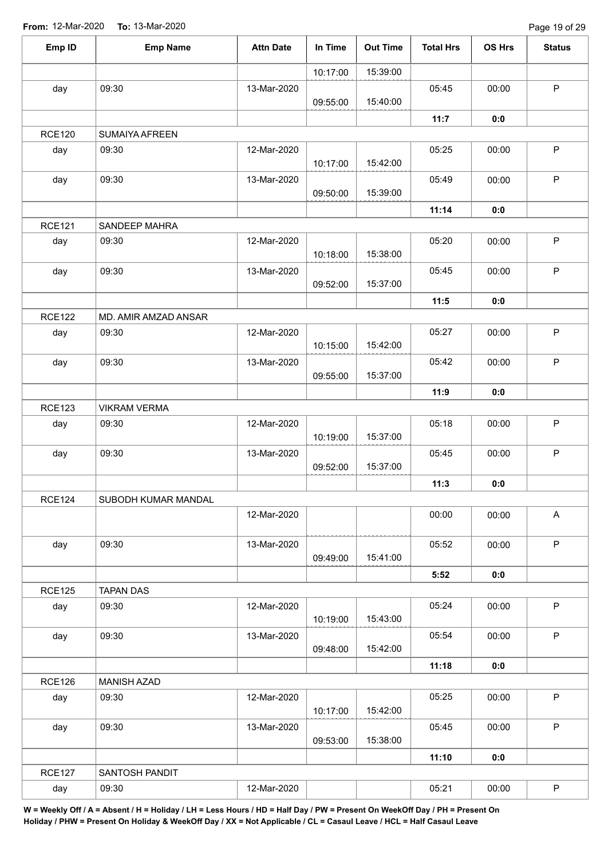| Emp ID        | <b>Emp Name</b>      | <b>Attn Date</b> | In Time  | <b>Out Time</b> | <b>Total Hrs</b> | <b>OS Hrs</b> | <b>Status</b> |
|---------------|----------------------|------------------|----------|-----------------|------------------|---------------|---------------|
|               |                      |                  | 10:17:00 | 15:39:00        |                  |               |               |
| day           | 09:30                | 13-Mar-2020      |          |                 | 05:45            | 00:00         | $\mathsf{P}$  |
|               |                      |                  | 09:55:00 | 15:40:00        |                  |               |               |
|               |                      |                  |          |                 | 11:7             | 0:0           |               |
| <b>RCE120</b> | SUMAIYA AFREEN       |                  |          |                 |                  |               |               |
| day           | 09:30                | 12-Mar-2020      | 10:17:00 | 15:42:00        | 05:25            | 00:00         | $\mathsf P$   |
| day           | 09:30                | 13-Mar-2020      | 09:50:00 | 15:39:00        | 05:49            | 00:00         | $\mathsf P$   |
|               |                      |                  |          |                 | 11:14            | 0:0           |               |
| <b>RCE121</b> | SANDEEP MAHRA        |                  |          |                 |                  |               |               |
| day           | 09:30                | 12-Mar-2020      | 10:18:00 | 15:38:00        | 05:20            | 00:00         | $\mathsf P$   |
| day           | 09:30                | 13-Mar-2020      | 09:52:00 | 15:37:00        | 05:45            | 00:00         | $\mathsf P$   |
|               |                      |                  |          |                 | 11:5             | 0:0           |               |
| <b>RCE122</b> | MD. AMIR AMZAD ANSAR |                  |          |                 |                  |               |               |
| day           | 09:30                | 12-Mar-2020      |          |                 | 05:27            | 00:00         | $\mathsf P$   |
|               |                      |                  | 10:15:00 | 15:42:00        |                  |               |               |
| day           | 09:30                | 13-Mar-2020      |          |                 | 05:42            | 00:00         | $\mathsf{P}$  |
|               |                      |                  | 09:55:00 | 15:37:00        |                  |               |               |
|               |                      |                  |          |                 | 11:9             | 0:0           |               |
| <b>RCE123</b> | <b>VIKRAM VERMA</b>  |                  |          |                 |                  |               |               |
| day           | 09:30                | 12-Mar-2020      | 10:19:00 | 15:37:00        | 05:18            | 00:00         | $\mathsf P$   |
| day           | 09:30                | 13-Mar-2020      |          |                 | 05:45            | 00:00         | $\mathsf P$   |
|               |                      |                  | 09:52:00 | 15:37:00        |                  |               |               |
|               |                      |                  |          |                 | 11:3             | 0:0           |               |
| <b>RCE124</b> | SUBODH KUMAR MANDAL  |                  |          |                 |                  |               |               |
|               |                      | 12-Mar-2020      |          |                 | 00:00            | 00:00         | $\mathsf A$   |
| day           | 09:30                | 13-Mar-2020      |          |                 | 05:52            | 00:00         | $\mathsf{P}$  |
|               |                      |                  | 09:49:00 | 15:41:00        |                  |               |               |
|               |                      |                  |          |                 | 5:52             | 0:0           |               |
| <b>RCE125</b> | <b>TAPAN DAS</b>     |                  |          |                 |                  |               |               |
| day           | 09:30                | 12-Mar-2020      | 10:19:00 | 15:43:00        | 05:24            | 00:00         | $\mathsf{P}$  |
| day           | 09:30                | 13-Mar-2020      |          |                 | 05:54            | 00:00         | $\mathsf P$   |
|               |                      |                  | 09:48:00 | 15:42:00        |                  |               |               |
|               |                      |                  |          |                 | 11:18            | 0:0           |               |
| <b>RCE126</b> | <b>MANISH AZAD</b>   |                  |          |                 |                  |               |               |
| day           | 09:30                | 12-Mar-2020      | 10:17:00 | 15:42:00        | 05:25            | 00:00         | $\mathsf P$   |
| day           | 09:30                | 13-Mar-2020      |          |                 | 05:45            | 00:00         | $\mathsf P$   |
|               |                      |                  | 09:53:00 | 15:38:00        |                  |               |               |
|               |                      |                  |          |                 | 11:10            | 0:0           |               |
| <b>RCE127</b> | SANTOSH PANDIT       |                  |          |                 |                  |               |               |
| day           | 09:30                | 12-Mar-2020      |          |                 | 05:21            | 00:00         | $\mathsf P$   |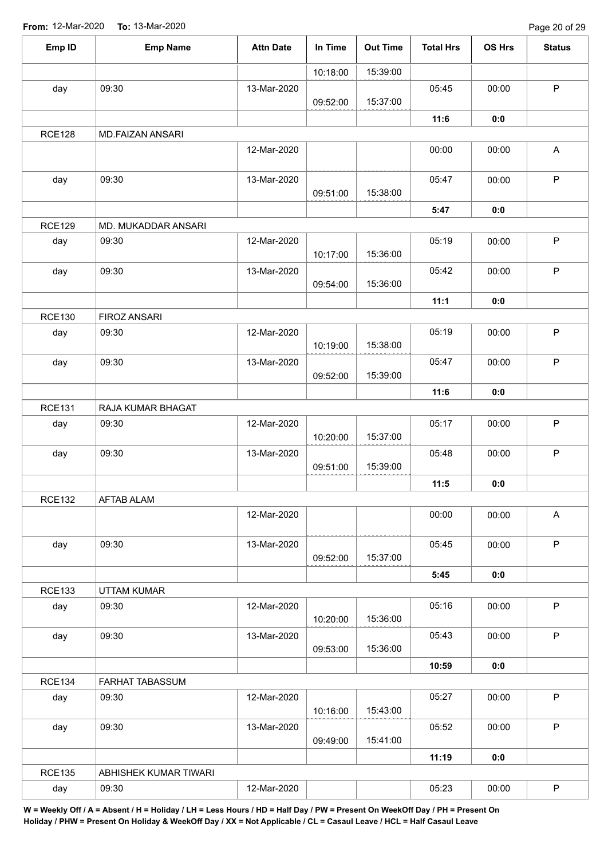| Emp ID        | <b>Emp Name</b>       | <b>Attn Date</b> | In Time  | <b>Out Time</b> | <b>Total Hrs</b> | <b>OS Hrs</b> | <b>Status</b>             |
|---------------|-----------------------|------------------|----------|-----------------|------------------|---------------|---------------------------|
|               |                       |                  | 10:18:00 | 15:39:00        |                  |               |                           |
| day           | 09:30                 | 13-Mar-2020      | 09:52:00 | 15:37:00        | 05:45            | 00:00         | $\mathsf P$               |
|               |                       |                  |          |                 | 11:6             | 0:0           |                           |
| <b>RCE128</b> | MD.FAIZAN ANSARI      |                  |          |                 |                  |               |                           |
|               |                       | 12-Mar-2020      |          |                 | 00:00            | 00:00         | $\boldsymbol{\mathsf{A}}$ |
| day           | 09:30                 | 13-Mar-2020      | 09:51:00 | 15:38:00        | 05:47            | 00:00         | $\mathsf{P}$              |
|               |                       |                  |          |                 | 5:47             | 0:0           |                           |
| <b>RCE129</b> | MD. MUKADDAR ANSARI   |                  |          |                 |                  |               |                           |
| day           | 09:30                 | 12-Mar-2020      | 10:17:00 | 15:36:00        | 05:19            | 00:00         | P                         |
| day           | 09:30                 | 13-Mar-2020      | 09:54:00 | 15:36:00        | 05:42            | 00:00         | $\mathsf P$               |
|               |                       |                  |          |                 | 11:1             | 0:0           |                           |
| <b>RCE130</b> | FIROZ ANSARI          |                  |          |                 |                  |               |                           |
| day           | 09:30                 | 12-Mar-2020      | 10:19:00 | 15:38:00        | 05:19            | 00:00         | $\mathsf P$               |
| day           | 09:30                 | 13-Mar-2020      | 09:52:00 | 15:39:00        | 05:47            | 00:00         | $\mathsf P$               |
|               |                       |                  |          |                 | 11:6             | 0:0           |                           |
| <b>RCE131</b> | RAJA KUMAR BHAGAT     |                  |          |                 |                  |               |                           |
| day           | 09:30                 | 12-Mar-2020      | 10:20:00 | 15:37:00        | 05:17            | 00:00         | $\mathsf P$               |
| day           | 09:30                 | 13-Mar-2020      | 09:51:00 | 15:39:00        | 05:48            | 00:00         | $\mathsf P$               |
|               |                       |                  |          |                 | 11:5             | 0:0           |                           |
| <b>RCE132</b> | AFTAB ALAM            |                  |          |                 |                  |               |                           |
|               |                       | 12-Mar-2020      |          |                 | 00:00            | 00:00         | $\mathsf A$               |
| day           | 09:30                 | 13-Mar-2020      | 09:52:00 | 15:37:00        | 05:45            | 00:00         | $\mathsf{P}$              |
|               |                       |                  |          |                 | 5:45             | 0:0           |                           |
| <b>RCE133</b> | UTTAM KUMAR           |                  |          |                 |                  |               |                           |
| day           | 09:30                 | 12-Mar-2020      | 10:20:00 | 15:36:00        | 05:16            | 00:00         | $\mathsf P$               |
| day           | 09:30                 | 13-Mar-2020      | 09:53:00 | 15:36:00        | 05:43            | 00:00         | $\mathsf P$               |
|               |                       |                  |          |                 | 10:59            | 0:0           |                           |
| <b>RCE134</b> | FARHAT TABASSUM       |                  |          |                 |                  |               |                           |
| day           | 09:30                 | 12-Mar-2020      | 10:16:00 | 15:43:00        | 05:27            | 00:00         | $\mathsf P$               |
| day           | 09:30                 | 13-Mar-2020      |          |                 | 05:52            | 00:00         | P                         |
|               |                       |                  | 09:49:00 | 15:41:00        |                  |               |                           |
|               |                       |                  |          |                 | 11:19            | 0:0           |                           |
| <b>RCE135</b> | ABHISHEK KUMAR TIWARI |                  |          |                 |                  |               |                           |
| day           | 09:30                 | 12-Mar-2020      |          |                 | 05:23            | 00:00         | $\mathsf P$               |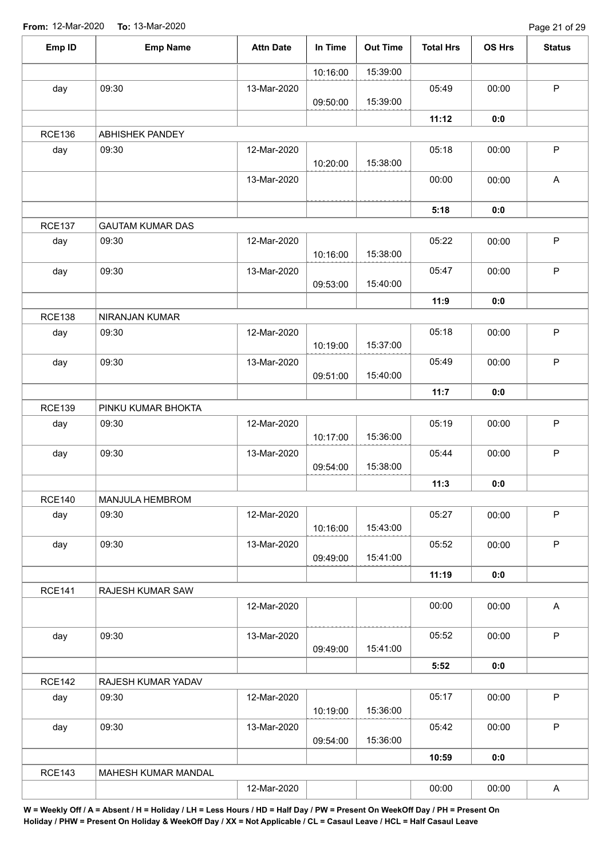| Emp ID        | <b>Emp Name</b>         | <b>Attn Date</b> | In Time  | <b>Out Time</b> | <b>Total Hrs</b> | <b>OS Hrs</b> | <b>Status</b> |
|---------------|-------------------------|------------------|----------|-----------------|------------------|---------------|---------------|
|               |                         |                  | 10:16:00 | 15:39:00        |                  |               |               |
| day           | 09:30                   | 13-Mar-2020      | 09:50:00 | 15:39:00        | 05:49            | 00:00         | $\mathsf P$   |
|               |                         |                  |          |                 | 11:12            | 0:0           |               |
| <b>RCE136</b> | <b>ABHISHEK PANDEY</b>  |                  |          |                 |                  |               |               |
| day           | 09:30                   | 12-Mar-2020      | 10:20:00 | 15:38:00        | 05:18            | 00:00         | $\mathsf P$   |
|               |                         | 13-Mar-2020      |          |                 | 00:00            | 00:00         | A             |
|               |                         |                  |          |                 | 5:18             | 0:0           |               |
| <b>RCE137</b> | <b>GAUTAM KUMAR DAS</b> |                  |          |                 |                  |               |               |
| day           | 09:30                   | 12-Mar-2020      | 10:16:00 | 15:38:00        | 05:22            | 00:00         | P             |
| day           | 09:30                   | 13-Mar-2020      | 09:53:00 | 15:40:00        | 05:47            | 00:00         | $\mathsf P$   |
|               |                         |                  |          |                 | 11:9             | 0:0           |               |
| <b>RCE138</b> | NIRANJAN KUMAR          |                  |          |                 |                  |               |               |
| day           | 09:30                   | 12-Mar-2020      | 10:19:00 | 15:37:00        | 05:18            | 00:00         | $\mathsf P$   |
| day           | 09:30                   | 13-Mar-2020      | 09:51:00 | 15:40:00        | 05:49            | 00:00         | $\mathsf P$   |
|               |                         |                  |          |                 | 11:7             | 0:0           |               |
| <b>RCE139</b> | PINKU KUMAR BHOKTA      |                  |          |                 |                  |               |               |
| day           | 09:30                   | 12-Mar-2020      | 10:17:00 | 15:36:00        | 05:19            | 00:00         | $\mathsf P$   |
| day           | 09:30                   | 13-Mar-2020      | 09:54:00 | 15:38:00        | 05:44            | 00:00         | $\mathsf P$   |
|               |                         |                  |          |                 | 11:3             | 0:0           |               |
| <b>RCE140</b> | MANJULA HEMBROM         |                  |          |                 |                  |               |               |
| day           | 09:30                   | 12-Mar-2020      | 10:16:00 | 15:43:00        | 05:27            | 00:00         | $\mathsf P$   |
| day           | 09:30                   | 13-Mar-2020      | 09:49:00 | 15:41:00        | 05:52            | 00:00         | P             |
|               |                         |                  |          |                 | 11:19            | 0:0           |               |
| <b>RCE141</b> | RAJESH KUMAR SAW        |                  |          |                 |                  |               |               |
|               |                         | 12-Mar-2020      |          |                 | 00:00            | 00:00         | A             |
| day           | 09:30                   | 13-Mar-2020      | 09:49:00 | 15:41:00        | 05:52            | 00:00         | $\mathsf P$   |
|               |                         |                  |          |                 | 5:52             | 0:0           |               |
| <b>RCE142</b> | RAJESH KUMAR YADAV      |                  |          |                 |                  |               |               |
| day           | 09:30                   | 12-Mar-2020      | 10:19:00 | 15:36:00        | 05:17            | 00:00         | $\mathsf P$   |
| day           | 09:30                   | 13-Mar-2020      | 09:54:00 | 15:36:00        | 05:42            | 00:00         | P             |
|               |                         |                  |          |                 | 10:59            | 0:0           |               |
| <b>RCE143</b> | MAHESH KUMAR MANDAL     |                  |          |                 |                  |               |               |
|               |                         | 12-Mar-2020      |          |                 | 00:00            | 00:00         | $\mathsf{A}$  |
|               |                         |                  |          |                 |                  |               |               |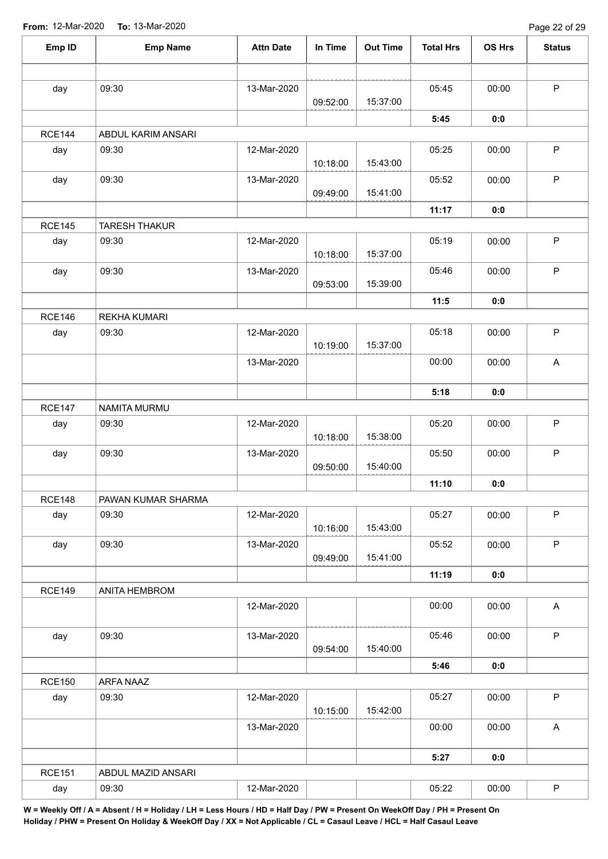Page 22 of 29

| Emp ID        | <b>Emp Name</b>             | <b>Attn Date</b> | In Time  | <b>Out Time</b> | <b>Total Hrs</b> | OS Hrs | <b>Status</b>             |
|---------------|-----------------------------|------------------|----------|-----------------|------------------|--------|---------------------------|
|               |                             |                  |          |                 |                  |        |                           |
| day           | 09:30                       | 13-Mar-2020      | 09:52:00 | 15:37:00        | 05:45            | 00:00  | $\mathsf P$               |
|               |                             |                  |          |                 | 5:45             | 0:0    |                           |
| <b>RCE144</b> | ABDUL KARIM ANSARI          |                  |          |                 |                  |        |                           |
| day           | 09:30                       | 12-Mar-2020      |          |                 | 05:25            | 00:00  | $\mathsf P$               |
|               |                             |                  | 10:18:00 | 15:43:00        |                  |        |                           |
| day           | 09:30                       | 13-Mar-2020      |          |                 | 05:52            | 00:00  | $\mathsf P$               |
|               |                             |                  | 09:49:00 | 15:41:00        |                  |        |                           |
|               |                             |                  |          |                 | 11:17            | 0:0    |                           |
| <b>RCE145</b> | <b>TARESH THAKUR</b>        |                  |          |                 |                  |        |                           |
| day           | 09:30                       | 12-Mar-2020      | 10:18:00 | 15:37:00        | 05:19            | 00:00  | $\sf P$                   |
| day           | 09:30                       | 13-Mar-2020      |          |                 | 05:46            | 00:00  | $\mathsf P$               |
|               |                             |                  | 09:53:00 | 15:39:00        |                  |        |                           |
|               |                             |                  |          |                 | 11:5             | 0:0    |                           |
| <b>RCE146</b> | <b>REKHA KUMARI</b>         |                  |          |                 |                  |        |                           |
| day           | 09:30                       | 12-Mar-2020      | 10:19:00 | 15:37:00        | 05:18            | 00:00  | $\mathsf P$               |
|               |                             | 13-Mar-2020      |          |                 | 00:00            | 00:00  | $\boldsymbol{\mathsf{A}}$ |
|               |                             |                  |          |                 | 5:18             | 0:0    |                           |
| <b>RCE147</b> | NAMITA MURMU                |                  |          |                 |                  |        |                           |
| day           | 09:30                       | 12-Mar-2020      |          |                 | 05:20            | 00:00  | $\sf P$                   |
|               |                             |                  | 10:18:00 | 15:38:00        |                  |        |                           |
| day           | 09:30                       | 13-Mar-2020      |          |                 | 05:50            | 00:00  | $\sf P$                   |
|               |                             |                  | 09:50:00 | 15:40:00        |                  |        |                           |
| <b>RCE148</b> |                             |                  |          |                 | 11:10            | 0:0    |                           |
| day           | PAWAN KUMAR SHARMA<br>09:30 | 12-Mar-2020      |          |                 | 05:27            | 00:00  | $\mathsf P$               |
|               |                             |                  | 10:16:00 | 15:43:00        |                  |        |                           |
| day           | 09:30                       | 13-Mar-2020      |          |                 | 05:52            | 00:00  | $\sf P$                   |
|               |                             |                  | 09:49:00 | 15:41:00        |                  |        |                           |
|               |                             |                  |          |                 | 11:19            | 0:0    |                           |
| <b>RCE149</b> | ANITA HEMBROM               |                  |          |                 |                  |        |                           |
|               |                             | 12-Mar-2020      |          |                 | 00:00            | 00:00  | $\boldsymbol{\mathsf{A}}$ |
| day           | 09:30                       | 13-Mar-2020      |          |                 | 05:46            | 00:00  | $\mathsf P$               |
|               |                             |                  | 09:54:00 | 15:40:00        |                  |        |                           |
|               |                             |                  |          |                 | 5:46             | 0:0    |                           |
| <b>RCE150</b> | ARFA NAAZ                   |                  |          |                 |                  |        |                           |
| day           | 09:30                       | 12-Mar-2020      |          |                 | 05:27            | 00:00  | $\mathsf P$               |
|               |                             |                  | 10:15:00 | 15:42:00        |                  |        |                           |
|               |                             | 13-Mar-2020      |          |                 | 00:00            | 00:00  | $\boldsymbol{\mathsf{A}}$ |
|               |                             |                  |          |                 | 5:27             | 0:0    |                           |
| <b>RCE151</b> | ABDUL MAZID ANSARI          |                  |          |                 |                  |        |                           |
| day           | 09:30                       | 12-Mar-2020      |          |                 | 05:22            | 00:00  | $\sf P$                   |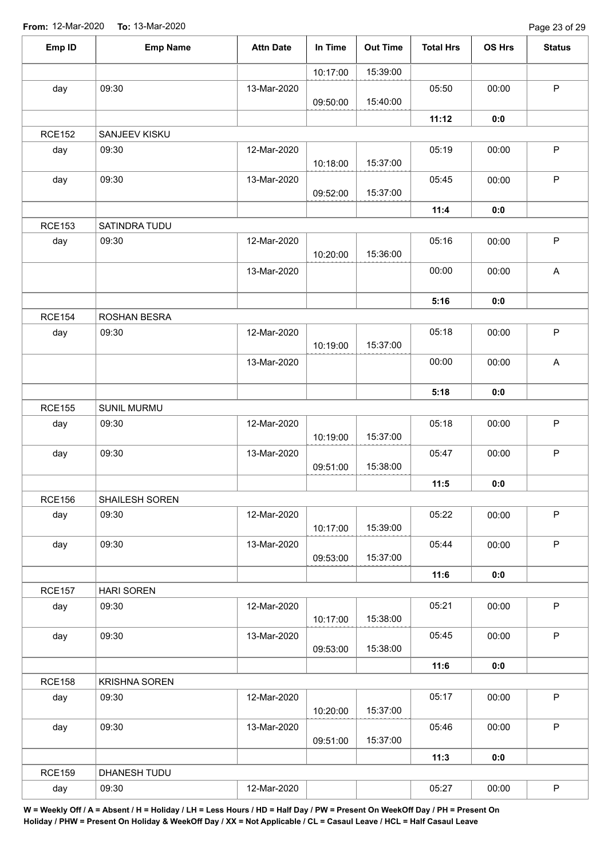| Emp ID        | <b>Emp Name</b>      | <b>Attn Date</b> | In Time  | <b>Out Time</b> | <b>Total Hrs</b> | OS Hrs | <b>Status</b> |
|---------------|----------------------|------------------|----------|-----------------|------------------|--------|---------------|
|               |                      |                  | 10:17:00 | 15:39:00        |                  |        |               |
| day           | 09:30                | 13-Mar-2020      | 09:50:00 | 15:40:00        | 05:50            | 00:00  | $\sf P$       |
|               |                      |                  |          |                 | 11:12            | 0:0    |               |
| <b>RCE152</b> | SANJEEV KISKU        |                  |          |                 |                  |        |               |
| day           | 09:30                | 12-Mar-2020      | 10:18:00 | 15:37:00        | 05:19            | 00:00  | $\sf P$       |
| day           | 09:30                | 13-Mar-2020      | 09:52:00 | 15:37:00        | 05:45            | 00:00  | $\mathsf P$   |
|               |                      |                  |          |                 | 11:4             | 0:0    |               |
| <b>RCE153</b> | SATINDRA TUDU        |                  |          |                 |                  |        |               |
| day           | 09:30                | 12-Mar-2020      | 10:20:00 | 15:36:00        | 05:16            | 00:00  | $\sf P$       |
|               |                      | 13-Mar-2020      |          |                 | 00:00            | 00:00  | $\mathsf A$   |
|               |                      |                  |          |                 | 5:16             | 0:0    |               |
| <b>RCE154</b> | ROSHAN BESRA         |                  |          |                 |                  |        |               |
| day           | 09:30                | 12-Mar-2020      | 10:19:00 | 15:37:00        | 05:18            | 00:00  | $\mathsf P$   |
|               |                      | 13-Mar-2020      |          |                 | 00:00            | 00:00  | $\mathsf{A}$  |
|               |                      |                  |          |                 | 5:18             | 0:0    |               |
| <b>RCE155</b> | SUNIL MURMU          |                  |          |                 |                  |        |               |
| day           | 09:30                | 12-Mar-2020      | 10:19:00 | 15:37:00        | 05:18            | 00:00  | $\mathsf P$   |
| day           | 09:30                | 13-Mar-2020      | 09:51:00 | 15:38:00        | 05:47            | 00:00  | $\sf P$       |
|               |                      |                  |          |                 | 11:5             | 0:0    |               |
| <b>RCE156</b> | SHAILESH SOREN       |                  |          |                 |                  |        |               |
| day           | 09:30                | 12-Mar-2020      | 10:17:00 | 15:39:00        | 05:22            | 00:00  | P             |
| day           | 09:30                | 13-Mar-2020      | 09:53:00 | 15:37:00        | 05:44            | 00:00  | $\mathsf P$   |
|               |                      |                  |          |                 | 11:6             | 0:0    |               |
| <b>RCE157</b> | <b>HARI SOREN</b>    |                  |          |                 |                  |        |               |
| day           | 09:30                | 12-Mar-2020      | 10:17:00 | 15:38:00        | 05:21            | 00:00  | $\mathsf{P}$  |
| day           | 09:30                | 13-Mar-2020      | 09:53:00 | 15:38:00        | 05:45            | 00:00  | $\mathsf{P}$  |
|               |                      |                  |          |                 | 11:6             | 0:0    |               |
| <b>RCE158</b> | <b>KRISHNA SOREN</b> |                  |          |                 |                  |        |               |
| day           | 09:30                | 12-Mar-2020      | 10:20:00 | 15:37:00        | 05:17            | 00:00  | $\mathsf{P}$  |
| day           | 09:30                | 13-Mar-2020      |          |                 | 05:46            | 00:00  | $\mathsf P$   |
|               |                      |                  | 09:51:00 | 15:37:00        |                  |        |               |
|               |                      |                  |          |                 | 11:3             | 0:0    |               |
| <b>RCE159</b> | DHANESH TUDU         |                  |          |                 | 05:27            |        | $\mathsf P$   |
| day           | 09:30                | 12-Mar-2020      |          |                 |                  | 00:00  |               |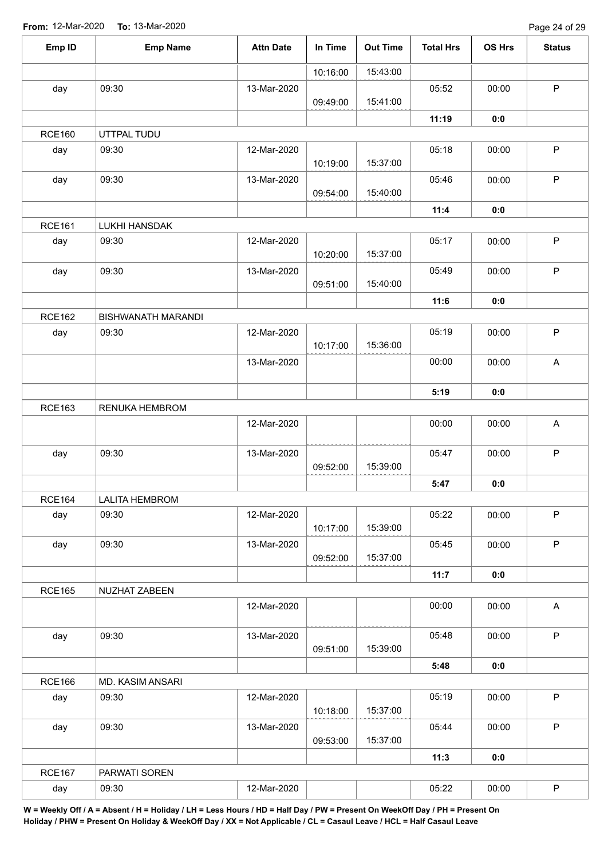| Emp ID        | <b>Emp Name</b>           | <b>Attn Date</b> | In Time  | <b>Out Time</b> | <b>Total Hrs</b> | <b>OS Hrs</b> | <b>Status</b> |
|---------------|---------------------------|------------------|----------|-----------------|------------------|---------------|---------------|
|               |                           |                  | 10:16:00 | 15:43:00        |                  |               |               |
| day           | 09:30                     | 13-Mar-2020      |          |                 | 05:52            | 00:00         | $\mathsf P$   |
|               |                           |                  | 09:49:00 | 15:41:00        |                  |               |               |
|               |                           |                  |          |                 | 11:19            | 0:0           |               |
| <b>RCE160</b> | UTTPAL TUDU               |                  |          |                 |                  |               |               |
| day           | 09:30                     | 12-Mar-2020      | 10:19:00 | 15:37:00        | 05:18            | 00:00         | $\mathsf P$   |
| day           | 09:30                     | 13-Mar-2020      | 09:54:00 | 15:40:00        | 05:46            | 00:00         | $\mathsf P$   |
|               |                           |                  |          |                 | 11:4             | 0:0           |               |
| <b>RCE161</b> | LUKHI HANSDAK             |                  |          |                 |                  |               |               |
| day           | 09:30                     | 12-Mar-2020      | 10:20:00 | 15:37:00        | 05:17            | 00:00         | $\sf P$       |
| day           | 09:30                     | 13-Mar-2020      | 09:51:00 | 15:40:00        | 05:49            | 00:00         | $\mathsf P$   |
|               |                           |                  |          |                 | 11:6             | 0:0           |               |
| <b>RCE162</b> | <b>BISHWANATH MARANDI</b> |                  |          |                 |                  |               |               |
| day           | 09:30                     | 12-Mar-2020      |          |                 | 05:19            | 00:00         | $\mathsf P$   |
|               |                           |                  | 10:17:00 | 15:36:00        |                  |               |               |
|               |                           | 13-Mar-2020      |          |                 | 00:00            | 00:00         | A             |
|               |                           |                  |          |                 | 5:19             | 0:0           |               |
| <b>RCE163</b> | RENUKA HEMBROM            |                  |          |                 |                  |               |               |
|               |                           | 12-Mar-2020      |          |                 | 00:00            | 00:00         | $\mathsf{A}$  |
| day           | 09:30                     | 13-Mar-2020      |          |                 | 05:47            | 00:00         | $\sf P$       |
|               |                           |                  | 09:52:00 | 15:39:00        |                  |               |               |
|               |                           |                  |          |                 | 5:47             | 0:0           |               |
| <b>RCE164</b> | <b>LALITA HEMBROM</b>     |                  |          |                 |                  |               |               |
| day           | 09:30                     | 12-Mar-2020      | 10:17:00 | 15:39:00        | 05:22            | 00:00         | $\mathsf P$   |
| day           | 09:30                     | 13-Mar-2020      |          |                 | 05:45            | 00:00         | $\mathsf P$   |
|               |                           |                  | 09:52:00 | 15:37:00        |                  |               |               |
|               |                           |                  |          |                 | 11:7             | 0:0           |               |
| <b>RCE165</b> | NUZHAT ZABEEN             |                  |          |                 |                  |               |               |
|               |                           | 12-Mar-2020      |          |                 | 00:00            | 00:00         | A             |
| day           | 09:30                     | 13-Mar-2020      |          |                 | 05:48            | 00:00         | $\mathsf{P}$  |
|               |                           |                  | 09:51:00 | 15:39:00        |                  |               |               |
|               |                           |                  |          |                 | 5:48             | 0:0           |               |
| <b>RCE166</b> | MD. KASIM ANSARI          |                  |          |                 |                  |               |               |
| day           | 09:30                     | 12-Mar-2020      | 10:18:00 | 15:37:00        | 05:19            | 00:00         | $\mathsf{P}$  |
| day           | 09:30                     | 13-Mar-2020      |          |                 | 05:44            | 00:00         | $\mathsf P$   |
|               |                           |                  | 09:53:00 | 15:37:00        |                  |               |               |
|               |                           |                  |          |                 | 11:3             | 0:0           |               |
| <b>RCE167</b> | PARWATI SOREN             |                  |          |                 |                  |               |               |
| day           | 09:30                     | 12-Mar-2020      |          |                 | 05:22            | 00:00         | $\sf P$       |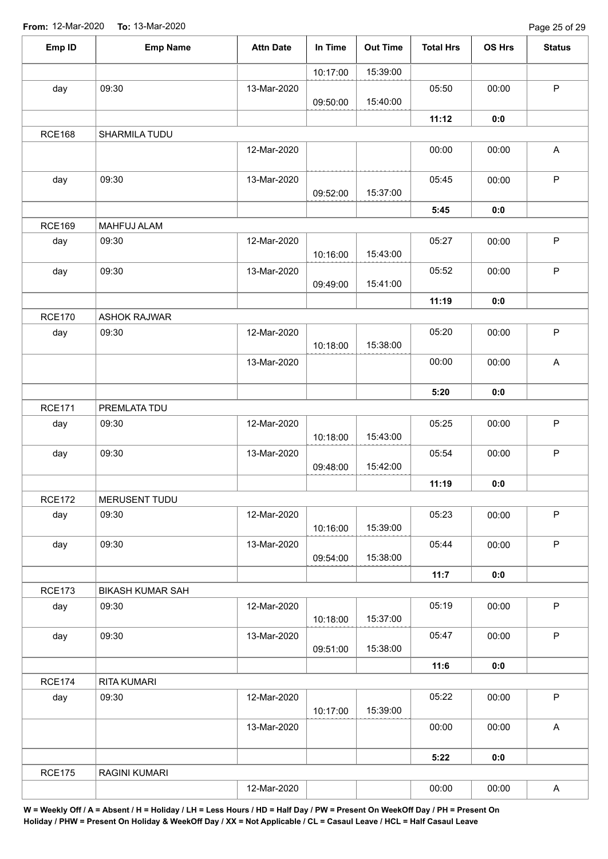Page 25 of 29

| Emp ID               | <b>Emp Name</b>         | <b>Attn Date</b> | In Time  | <b>Out Time</b> | <b>Total Hrs</b> | OS Hrs | <b>Status</b> |
|----------------------|-------------------------|------------------|----------|-----------------|------------------|--------|---------------|
|                      |                         |                  | 10:17:00 | 15:39:00        |                  |        |               |
| day                  | 09:30                   | 13-Mar-2020      |          |                 | 05:50            | 00:00  | $\mathsf P$   |
|                      |                         |                  | 09:50:00 | 15:40:00        |                  |        |               |
|                      |                         |                  |          |                 | 11:12            | 0:0    |               |
| <b>RCE168</b>        | SHARMILA TUDU           |                  |          |                 |                  |        |               |
|                      |                         | 12-Mar-2020      |          |                 | 00:00            | 00:00  | A             |
| day                  | 09:30                   | 13-Mar-2020      | 09:52:00 | 15:37:00        | 05:45            | 00:00  | $\mathsf P$   |
|                      |                         |                  |          |                 | 5:45             | 0:0    |               |
| <b>RCE169</b>        | MAHFUJ ALAM             |                  |          |                 |                  |        |               |
| day                  | 09:30                   | 12-Mar-2020      | 10:16:00 | 15:43:00        | 05:27            | 00:00  | $\mathsf P$   |
| day                  | 09:30                   | 13-Mar-2020      | 09:49:00 | 15:41:00        | 05:52            | 00:00  | $\mathsf P$   |
|                      |                         |                  |          |                 | 11:19            | 0:0    |               |
| <b>RCE170</b>        | <b>ASHOK RAJWAR</b>     |                  |          |                 |                  |        |               |
| day                  | 09:30                   | 12-Mar-2020      | 10:18:00 | 15:38:00        | 05:20            | 00:00  | $\mathsf P$   |
|                      |                         | 13-Mar-2020      |          |                 | 00:00            | 00:00  | $\mathsf A$   |
|                      |                         |                  |          |                 | 5:20             | 0:0    |               |
| <b>RCE171</b>        | PREMLATA TDU            |                  |          |                 |                  |        |               |
| day                  | 09:30                   | 12-Mar-2020      | 10:18:00 | 15:43:00        | 05:25            | 00:00  | $\mathsf P$   |
| day                  | 09:30                   | 13-Mar-2020      |          |                 | 05:54            | 00:00  | $\sf P$       |
|                      |                         |                  | 09:48:00 | 15:42:00        |                  |        |               |
|                      |                         |                  |          |                 | 11:19            | 0:0    |               |
| <b>RCE172</b><br>day | MERUSENT TUDU<br>09:30  | 12-Mar-2020      |          |                 | 05:23            | 00:00  | $\mathsf P$   |
|                      |                         |                  | 10:16:00 | 15:39:00        |                  |        |               |
| day                  | 09:30                   | 13-Mar-2020      |          |                 | 05:44            | 00:00  | $\mathsf P$   |
|                      |                         |                  | 09:54:00 | 15:38:00        |                  |        |               |
|                      |                         |                  |          |                 | 11:7             | 0:0    |               |
| <b>RCE173</b>        | <b>BIKASH KUMAR SAH</b> |                  |          |                 |                  |        |               |
| day                  | 09:30                   | 12-Mar-2020      | 10:18:00 | 15:37:00        | 05:19            | 00:00  | $\sf P$       |
| day                  | 09:30                   | 13-Mar-2020      |          |                 | 05:47            | 00:00  | $\mathsf{P}$  |
|                      |                         |                  | 09:51:00 | 15:38:00        |                  |        |               |
|                      |                         |                  |          |                 | 11:6             | 0:0    |               |
| <b>RCE174</b>        | RITA KUMARI             |                  |          |                 |                  |        |               |
| day                  | 09:30                   | 12-Mar-2020      | 10:17:00 | 15:39:00        | 05:22            | 00:00  | $\mathsf P$   |
|                      |                         | 13-Mar-2020      |          |                 | 00:00            | 00:00  | $\mathsf A$   |
|                      |                         |                  |          |                 | 5:22             | 0:0    |               |
| <b>RCE175</b>        | RAGINI KUMARI           |                  |          |                 |                  |        |               |
|                      |                         | 12-Mar-2020      |          |                 | 00:00            | 00:00  | A             |
|                      |                         |                  |          |                 |                  |        |               |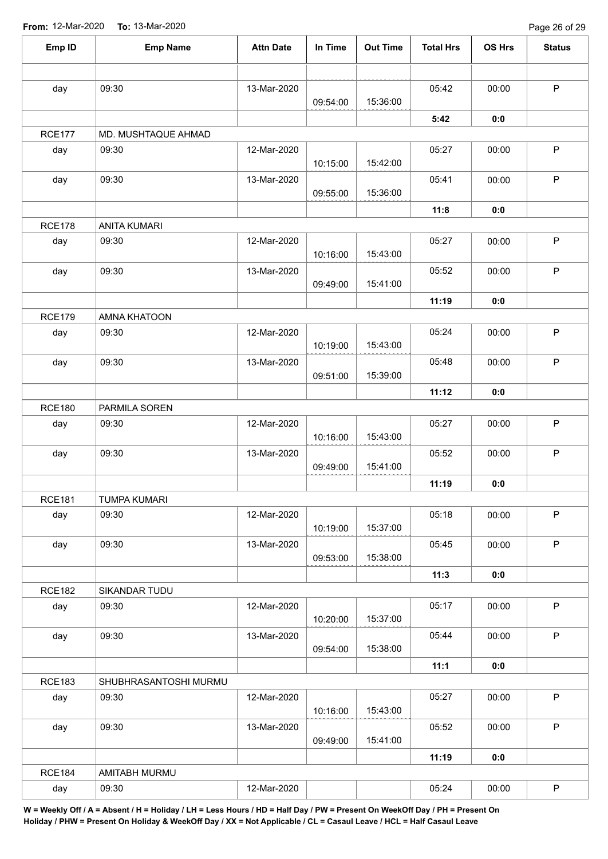Page 26 of 29

| Emp ID        | <b>Emp Name</b>       | <b>Attn Date</b> | In Time  | <b>Out Time</b> | <b>Total Hrs</b> | OS Hrs | <b>Status</b> |
|---------------|-----------------------|------------------|----------|-----------------|------------------|--------|---------------|
|               |                       |                  |          |                 |                  |        |               |
| day           | 09:30                 | 13-Mar-2020      | 09:54:00 | 15:36:00        | 05:42            | 00:00  | $\mathsf P$   |
|               |                       |                  |          |                 | 5:42             | 0:0    |               |
| <b>RCE177</b> | MD. MUSHTAQUE AHMAD   |                  |          |                 |                  |        |               |
| day           | 09:30                 | 12-Mar-2020      |          |                 | 05:27            | 00:00  | $\mathsf P$   |
|               |                       |                  | 10:15:00 | 15:42:00        |                  |        |               |
| day           | 09:30                 | 13-Mar-2020      | 09:55:00 | 15:36:00        | 05:41            | 00:00  | $\mathsf P$   |
|               |                       |                  |          |                 | 11:8             | 0:0    |               |
| <b>RCE178</b> | <b>ANITA KUMARI</b>   |                  |          |                 |                  |        |               |
| day           | 09:30                 | 12-Mar-2020      | 10:16:00 | 15:43:00        | 05:27            | 00:00  | $\sf P$       |
| day           | 09:30                 | 13-Mar-2020      | 09:49:00 | 15:41:00        | 05:52            | 00:00  | $\mathsf P$   |
|               |                       |                  |          |                 | 11:19            | 0:0    |               |
| <b>RCE179</b> | AMNA KHATOON          |                  |          |                 |                  |        |               |
| day           | 09:30                 | 12-Mar-2020      | 10:19:00 | 15:43:00        | 05:24            | 00:00  | $\mathsf P$   |
| day           | 09:30                 | 13-Mar-2020      | 09:51:00 | 15:39:00        | 05:48            | 00:00  | $\mathsf P$   |
|               |                       |                  |          |                 | 11:12            | 0:0    |               |
| <b>RCE180</b> | PARMILA SOREN         |                  |          |                 |                  |        |               |
| day           | 09:30                 | 12-Mar-2020      | 10:16:00 | 15:43:00        | 05:27            | 00:00  | $\sf P$       |
| day           | 09:30                 | 13-Mar-2020      | 09:49:00 | 15:41:00        | 05:52            | 00:00  | $\mathsf P$   |
|               |                       |                  |          |                 | 11:19            | 0:0    |               |
| <b>RCE181</b> | <b>TUMPA KUMARI</b>   |                  |          |                 |                  |        |               |
| day           | 09:30                 | 12-Mar-2020      | 10:19:00 | 15:37:00        | 05:18            | 00:00  | $\sf P$       |
| day           | 09:30                 | 13-Mar-2020      | 09:53:00 | 15:38:00        | 05:45            | 00:00  | $\mathsf P$   |
|               |                       |                  |          |                 | 11:3             | 0:0    |               |
| <b>RCE182</b> | SIKANDAR TUDU         |                  |          |                 |                  |        |               |
| day           | 09:30                 | 12-Mar-2020      | 10:20:00 | 15:37:00        | 05:17            | 00:00  | $\mathsf P$   |
| day           | 09:30                 | 13-Mar-2020      | 09:54:00 | 15:38:00        | 05:44            | 00:00  | $\mathsf P$   |
|               |                       |                  |          |                 | 11:1             | 0:0    |               |
| <b>RCE183</b> | SHUBHRASANTOSHI MURMU |                  |          |                 |                  |        |               |
| day           | 09:30                 | 12-Mar-2020      | 10:16:00 | 15:43:00        | 05:27            | 00:00  | $\mathsf P$   |
| day           | 09:30                 | 13-Mar-2020      |          |                 | 05:52            | 00:00  | $\mathsf P$   |
|               |                       |                  | 09:49:00 | 15:41:00        |                  |        |               |
|               |                       |                  |          |                 | 11:19            | 0:0    |               |
| <b>RCE184</b> | AMITABH MURMU         |                  |          |                 |                  |        |               |
| day           | 09:30                 | 12-Mar-2020      |          |                 | 05:24            | 00:00  | $\sf P$       |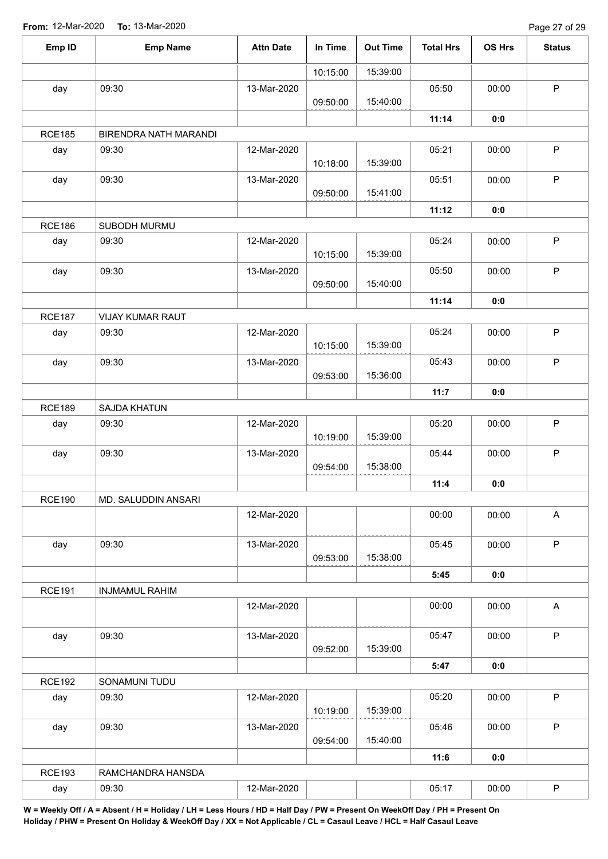Page 27 of 29

| Emp ID        | <b>Emp Name</b>       | <b>Attn Date</b> | In Time  | <b>Out Time</b> | <b>Total Hrs</b> | OS Hrs | <b>Status</b>             |
|---------------|-----------------------|------------------|----------|-----------------|------------------|--------|---------------------------|
|               |                       |                  | 10:15:00 | 15:39:00        |                  |        |                           |
| day           | 09:30                 | 13-Mar-2020      |          |                 | 05:50            | 00:00  | $\mathsf P$               |
|               |                       |                  | 09:50:00 | 15:40:00        |                  |        |                           |
|               |                       |                  |          |                 | 11:14            | 0:0    |                           |
| <b>RCE185</b> | BIRENDRA NATH MARANDI |                  |          |                 |                  |        |                           |
| day           | 09:30                 | 12-Mar-2020      | 10:18:00 | 15:39:00        | 05:21            | 00:00  | $\sf P$                   |
| day           | 09:30                 | 13-Mar-2020      | 09:50:00 | 15:41:00        | 05:51            | 00:00  | $\mathsf P$               |
|               |                       |                  |          |                 | 11:12            | 0:0    |                           |
| <b>RCE186</b> | SUBODH MURMU          |                  |          |                 |                  |        |                           |
| day           | 09:30                 | 12-Mar-2020      | 10:15:00 | 15:39:00        | 05:24            | 00:00  | $\mathsf P$               |
| day           | 09:30                 | 13-Mar-2020      | 09:50:00 | 15:40:00        | 05:50            | 00:00  | $\mathsf P$               |
|               |                       |                  |          |                 | 11:14            | 0:0    |                           |
| <b>RCE187</b> | VIJAY KUMAR RAUT      |                  |          |                 |                  |        |                           |
| day           | 09:30                 | 12-Mar-2020      | 10:15:00 | 15:39:00        | 05:24            | 00:00  | $\mathsf P$               |
| day           | 09:30                 | 13-Mar-2020      |          |                 | 05:43            | 00:00  | $\mathsf P$               |
|               |                       |                  | 09:53:00 | 15:36:00        |                  |        |                           |
|               |                       |                  |          |                 | 11:7             | 0:0    |                           |
| <b>RCE189</b> | SAJDA KHATUN          |                  |          |                 |                  |        |                           |
| day           | 09:30                 | 12-Mar-2020      | 10:19:00 | 15:39:00        | 05:20            | 00:00  | $\mathsf P$               |
| day           | 09:30                 | 13-Mar-2020      | 09:54:00 | 15:38:00        | 05:44            | 00:00  | $\mathsf P$               |
|               |                       |                  |          |                 | 11:4             | 0:0    |                           |
| <b>RCE190</b> | MD. SALUDDIN ANSARI   |                  |          |                 |                  |        |                           |
|               |                       | 12-Mar-2020      |          |                 | 00:00            | 00:00  | $\boldsymbol{\mathsf{A}}$ |
| day           | 09:30                 | 13-Mar-2020      | 09:53:00 | 15:38:00        | 05:45            | 00:00  | $\mathsf P$               |
|               |                       |                  |          |                 | 5:45             | 0:0    |                           |
| <b>RCE191</b> | <b>INJMAMUL RAHIM</b> |                  |          |                 |                  |        |                           |
|               |                       | 12-Mar-2020      |          |                 | 00:00            | 00:00  | $\mathsf{A}$              |
| day           | 09:30                 | 13-Mar-2020      | 09:52:00 | 15:39:00        | 05:47            | 00:00  | $\mathsf P$               |
|               |                       |                  |          |                 | 5:47             | 0:0    |                           |
| <b>RCE192</b> | SONAMUNI TUDU         |                  |          |                 |                  |        |                           |
| day           | 09:30                 | 12-Mar-2020      |          |                 | 05:20            | 00:00  | $\sf P$                   |
|               |                       |                  | 10:19:00 | 15:39:00        |                  |        |                           |
| day           | 09:30                 | 13-Mar-2020      |          |                 | 05:46            | 00:00  | $\sf P$                   |
|               |                       |                  | 09:54:00 | 15:40:00        |                  |        |                           |
|               |                       |                  |          |                 | 11:6             | 0:0    |                           |
| <b>RCE193</b> | RAMCHANDRA HANSDA     |                  |          |                 |                  |        |                           |
| day           | 09:30                 | 12-Mar-2020      |          |                 | 05:17            | 00:00  | $\mathsf P$               |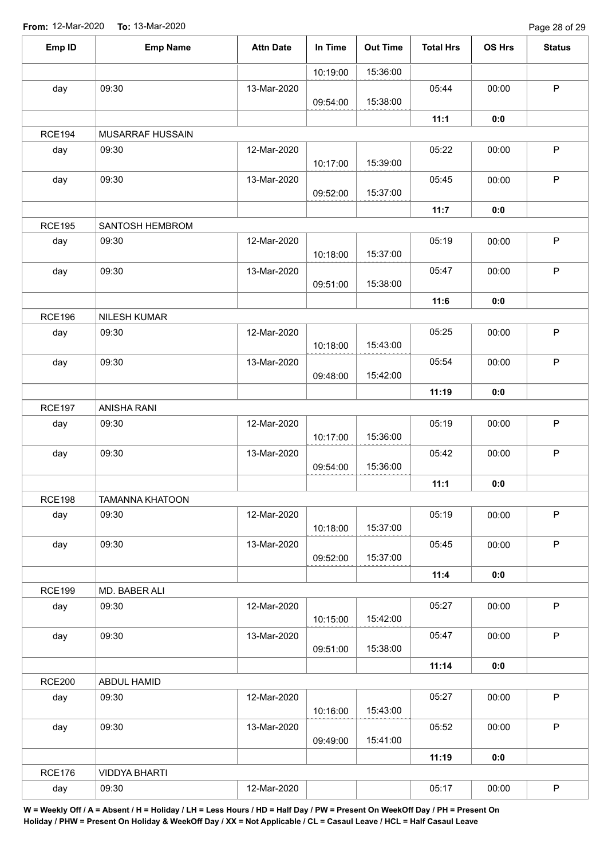| Emp ID        | <b>Emp Name</b>        | <b>Attn Date</b> | In Time  | <b>Out Time</b> | <b>Total Hrs</b> | <b>OS Hrs</b> | <b>Status</b> |
|---------------|------------------------|------------------|----------|-----------------|------------------|---------------|---------------|
|               |                        |                  | 10:19:00 | 15:36:00        |                  |               |               |
| day           | 09:30                  | 13-Mar-2020      | 09:54:00 | 15:38:00        | 05:44            | 00:00         | $\mathsf P$   |
|               |                        |                  |          |                 | 11:1             | 0:0           |               |
| <b>RCE194</b> | MUSARRAF HUSSAIN       |                  |          |                 |                  |               |               |
| day           | 09:30                  | 12-Mar-2020      | 10:17:00 | 15:39:00        | 05:22            | 00:00         | $\mathsf P$   |
| day           | 09:30                  | 13-Mar-2020      | 09:52:00 | 15:37:00        | 05:45            | 00:00         | $\mathsf{P}$  |
|               |                        |                  |          |                 | 11:7             | 0:0           |               |
| <b>RCE195</b> | SANTOSH HEMBROM        |                  |          |                 |                  |               |               |
| day           | 09:30                  | 12-Mar-2020      | 10:18:00 | 15:37:00        | 05:19            | 00:00         | P             |
| day           | 09:30                  | 13-Mar-2020      | 09:51:00 | 15:38:00        | 05:47            | 00:00         | $\mathsf P$   |
|               |                        |                  |          |                 | 11:6             | 0:0           |               |
| <b>RCE196</b> | NILESH KUMAR           |                  |          |                 |                  |               |               |
| day           | 09:30                  | 12-Mar-2020      | 10:18:00 | 15:43:00        | 05:25            | 00:00         | $\sf P$       |
| day           | 09:30                  | 13-Mar-2020      | 09:48:00 | 15:42:00        | 05:54            | 00:00         | $\mathsf P$   |
|               |                        |                  |          |                 | 11:19            | 0:0           |               |
| <b>RCE197</b> | ANISHA RANI            |                  |          |                 |                  |               |               |
| day           | 09:30                  | 12-Mar-2020      | 10:17:00 | 15:36:00        | 05:19            | 00:00         | $\mathsf P$   |
| day           | 09:30                  | 13-Mar-2020      | 09:54:00 | 15:36:00        | 05:42            | 00:00         | $\mathsf P$   |
|               |                        |                  |          |                 | 11:1             | 0:0           |               |
| <b>RCE198</b> | <b>TAMANNA KHATOON</b> |                  |          |                 |                  |               |               |
| day           | 09:30                  | 12-Mar-2020      | 10:18:00 | 15:37:00        | 05:19            | 00:00         | $\mathsf P$   |
| day           | 09:30                  | 13-Mar-2020      | 09:52:00 | 15:37:00        | 05:45            | 00:00         | P             |
|               |                        |                  |          |                 | 11:4             | 0:0           |               |
| <b>RCE199</b> | MD. BABER ALI          |                  |          |                 |                  |               |               |
| day           | 09:30                  | 12-Mar-2020      | 10:15:00 | 15:42:00        | 05:27            | 00:00         | P             |
| day           | 09:30                  | 13-Mar-2020      | 09:51:00 | 15:38:00        | 05:47            | 00:00         | $\mathsf P$   |
|               |                        |                  |          |                 | 11:14            | 0:0           |               |
| <b>RCE200</b> | ABDUL HAMID            |                  |          |                 |                  |               |               |
| day           | 09:30                  | 12-Mar-2020      | 10:16:00 | 15:43:00        | 05:27            | 00:00         | $\mathsf P$   |
| day           | 09:30                  | 13-Mar-2020      |          |                 | 05:52            | 00:00         | $\mathsf{P}$  |
|               |                        |                  | 09:49:00 | 15:41:00        |                  |               |               |
|               |                        |                  |          |                 | 11:19            | 0:0           |               |
| <b>RCE176</b> | <b>VIDDYA BHARTI</b>   |                  |          |                 |                  |               |               |
| day           | 09:30                  | 12-Mar-2020      |          |                 | 05:17            | 00:00         | $\mathsf P$   |